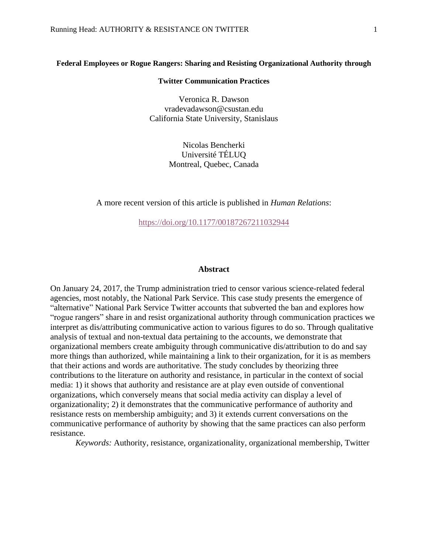## **Federal Employees or Rogue Rangers: Sharing and Resisting Organizational Authority through**

### **Twitter Communication Practices**

Veronica R. Dawson vradevadawson@csustan.edu California State University, Stanislaus

> Nicolas Bencherki Université TÉLUQ Montreal, Quebec, Canada

A more recent version of this article is published in *Human Relations*:

<https://doi.org/10.1177/00187267211032944>

## **Abstract**

On January 24, 2017, the Trump administration tried to censor various science-related federal agencies, most notably, the National Park Service. This case study presents the emergence of "alternative" National Park Service Twitter accounts that subverted the ban and explores how "rogue rangers" share in and resist organizational authority through communication practices we interpret as dis/attributing communicative action to various figures to do so. Through qualitative analysis of textual and non-textual data pertaining to the accounts, we demonstrate that organizational members create ambiguity through communicative dis/attribution to do and say more things than authorized, while maintaining a link to their organization, for it is as members that their actions and words are authoritative. The study concludes by theorizing three contributions to the literature on authority and resistance, in particular in the context of social media: 1) it shows that authority and resistance are at play even outside of conventional organizations, which conversely means that social media activity can display a level of organizationality; 2) it demonstrates that the communicative performance of authority and resistance rests on membership ambiguity; and 3) it extends current conversations on the communicative performance of authority by showing that the same practices can also perform resistance.

*Keywords:* Authority, resistance, organizationality, organizational membership, Twitter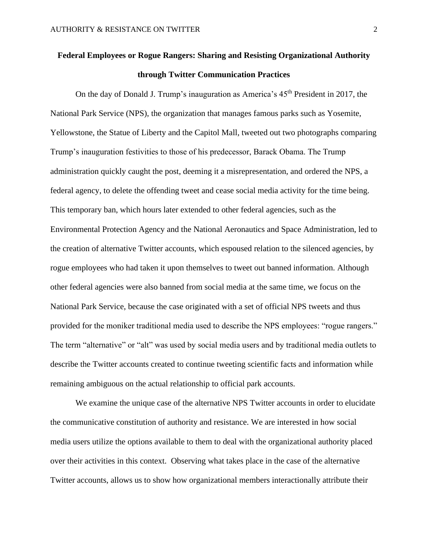# **Federal Employees or Rogue Rangers: Sharing and Resisting Organizational Authority through Twitter Communication Practices**

On the day of Donald J. Trump's inauguration as America's  $45<sup>th</sup>$  President in 2017, the National Park Service (NPS), the organization that manages famous parks such as Yosemite, Yellowstone, the Statue of Liberty and the Capitol Mall, tweeted out two photographs comparing Trump's inauguration festivities to those of his predecessor, Barack Obama. The Trump administration quickly caught the post, deeming it a misrepresentation, and ordered the NPS, a federal agency, to delete the offending tweet and cease social media activity for the time being. This temporary ban, which hours later extended to other federal agencies, such as the Environmental Protection Agency and the National Aeronautics and Space Administration, led to the creation of alternative Twitter accounts, which espoused relation to the silenced agencies, by rogue employees who had taken it upon themselves to tweet out banned information. Although other federal agencies were also banned from social media at the same time, we focus on the National Park Service, because the case originated with a set of official NPS tweets and thus provided for the moniker traditional media used to describe the NPS employees: "rogue rangers." The term "alternative" or "alt" was used by social media users and by traditional media outlets to describe the Twitter accounts created to continue tweeting scientific facts and information while remaining ambiguous on the actual relationship to official park accounts.

We examine the unique case of the alternative NPS Twitter accounts in order to elucidate the communicative constitution of authority and resistance. We are interested in how social media users utilize the options available to them to deal with the organizational authority placed over their activities in this context. Observing what takes place in the case of the alternative Twitter accounts, allows us to show how organizational members interactionally attribute their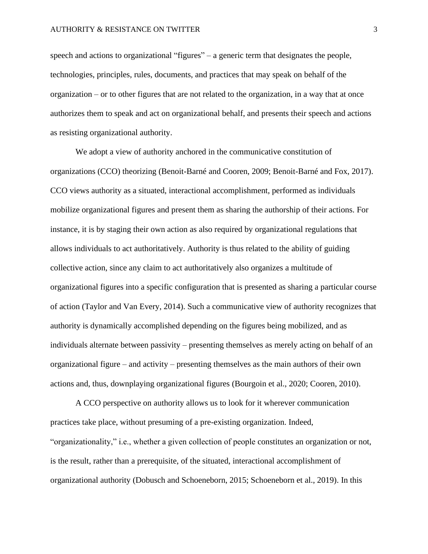speech and actions to organizational "figures" – a generic term that designates the people, technologies, principles, rules, documents, and practices that may speak on behalf of the organization – or to other figures that are not related to the organization, in a way that at once authorizes them to speak and act on organizational behalf, and presents their speech and actions as resisting organizational authority.

We adopt a view of authority anchored in the communicative constitution of organizations (CCO) theorizing (Benoit-Barné and Cooren, 2009; Benoit-Barné and Fox, 2017). CCO views authority as a situated, interactional accomplishment, performed as individuals mobilize organizational figures and present them as sharing the authorship of their actions. For instance, it is by staging their own action as also required by organizational regulations that allows individuals to act authoritatively. Authority is thus related to the ability of guiding collective action, since any claim to act authoritatively also organizes a multitude of organizational figures into a specific configuration that is presented as sharing a particular course of action (Taylor and Van Every, 2014). Such a communicative view of authority recognizes that authority is dynamically accomplished depending on the figures being mobilized, and as individuals alternate between passivity – presenting themselves as merely acting on behalf of an organizational figure – and activity – presenting themselves as the main authors of their own actions and, thus, downplaying organizational figures (Bourgoin et al., 2020; Cooren, 2010).

A CCO perspective on authority allows us to look for it wherever communication practices take place, without presuming of a pre-existing organization. Indeed, "organizationality," i.e., whether a given collection of people constitutes an organization or not, is the result, rather than a prerequisite, of the situated, interactional accomplishment of organizational authority (Dobusch and Schoeneborn, 2015; Schoeneborn et al., 2019). In this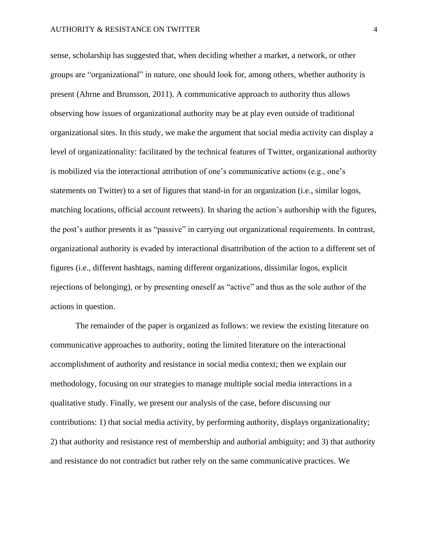sense, scholarship has suggested that, when deciding whether a market, a network, or other groups are "organizational" in nature, one should look for, among others, whether authority is present (Ahrne and Brunsson, 2011). A communicative approach to authority thus allows observing how issues of organizational authority may be at play even outside of traditional organizational sites. In this study, we make the argument that social media activity can display a level of organizationality: facilitated by the technical features of Twitter, organizational authority is mobilized via the interactional attribution of one's communicative actions (e.g., one's statements on Twitter) to a set of figures that stand-in for an organization (i.e., similar logos, matching locations, official account retweets). In sharing the action's authorship with the figures, the post's author presents it as "passive" in carrying out organizational requirements. In contrast, organizational authority is evaded by interactional disattribution of the action to a different set of figures (i.e., different hashtags, naming different organizations, dissimilar logos, explicit rejections of belonging), or by presenting oneself as "active" and thus as the sole author of the actions in question.

The remainder of the paper is organized as follows: we review the existing literature on communicative approaches to authority, noting the limited literature on the interactional accomplishment of authority and resistance in social media context; then we explain our methodology, focusing on our strategies to manage multiple social media interactions in a qualitative study. Finally, we present our analysis of the case, before discussing our contributions: 1) that social media activity, by performing authority, displays organizationality; 2) that authority and resistance rest of membership and authorial ambiguity; and 3) that authority and resistance do not contradict but rather rely on the same communicative practices. We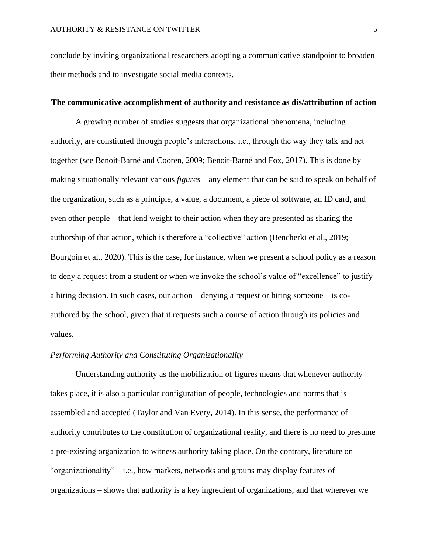conclude by inviting organizational researchers adopting a communicative standpoint to broaden their methods and to investigate social media contexts.

## **The communicative accomplishment of authority and resistance as dis/attribution of action**

A growing number of studies suggests that organizational phenomena, including authority, are constituted through people's interactions, i.e., through the way they talk and act together (see Benoit-Barné and Cooren, 2009; Benoit-Barné and Fox, 2017). This is done by making situationally relevant various *figures* – any element that can be said to speak on behalf of the organization, such as a principle, a value, a document, a piece of software, an ID card, and even other people – that lend weight to their action when they are presented as sharing the authorship of that action, which is therefore a "collective" action (Bencherki et al., 2019; Bourgoin et al., 2020). This is the case, for instance, when we present a school policy as a reason to deny a request from a student or when we invoke the school's value of "excellence" to justify a hiring decision. In such cases, our action – denying a request or hiring someone – is coauthored by the school, given that it requests such a course of action through its policies and values.

# *Performing Authority and Constituting Organizationality*

Understanding authority as the mobilization of figures means that whenever authority takes place, it is also a particular configuration of people, technologies and norms that is assembled and accepted (Taylor and Van Every, 2014). In this sense, the performance of authority contributes to the constitution of organizational reality, and there is no need to presume a pre-existing organization to witness authority taking place. On the contrary, literature on "organizationality" – i.e., how markets, networks and groups may display features of organizations – shows that authority is a key ingredient of organizations, and that wherever we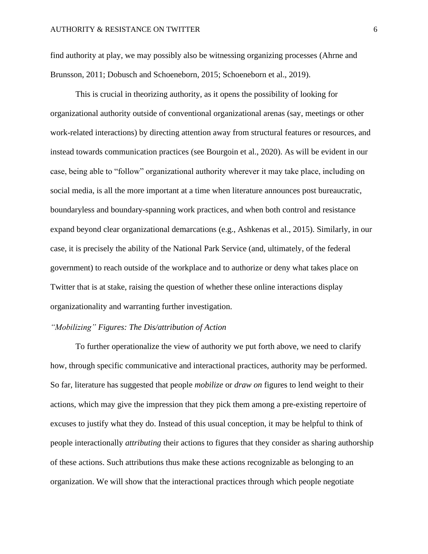find authority at play, we may possibly also be witnessing organizing processes (Ahrne and Brunsson, 2011; Dobusch and Schoeneborn, 2015; Schoeneborn et al., 2019).

This is crucial in theorizing authority, as it opens the possibility of looking for organizational authority outside of conventional organizational arenas (say, meetings or other work-related interactions) by directing attention away from structural features or resources, and instead towards communication practices (see Bourgoin et al., 2020). As will be evident in our case, being able to "follow" organizational authority wherever it may take place, including on social media, is all the more important at a time when literature announces post bureaucratic, boundaryless and boundary-spanning work practices, and when both control and resistance expand beyond clear organizational demarcations (e.g., Ashkenas et al., 2015). Similarly, in our case, it is precisely the ability of the National Park Service (and, ultimately, of the federal government) to reach outside of the workplace and to authorize or deny what takes place on Twitter that is at stake, raising the question of whether these online interactions display organizationality and warranting further investigation.

## *"Mobilizing" Figures: The Dis/attribution of Action*

To further operationalize the view of authority we put forth above, we need to clarify how, through specific communicative and interactional practices, authority may be performed. So far, literature has suggested that people *mobilize* or *draw on* figures to lend weight to their actions, which may give the impression that they pick them among a pre-existing repertoire of excuses to justify what they do. Instead of this usual conception, it may be helpful to think of people interactionally *attributing* their actions to figures that they consider as sharing authorship of these actions. Such attributions thus make these actions recognizable as belonging to an organization. We will show that the interactional practices through which people negotiate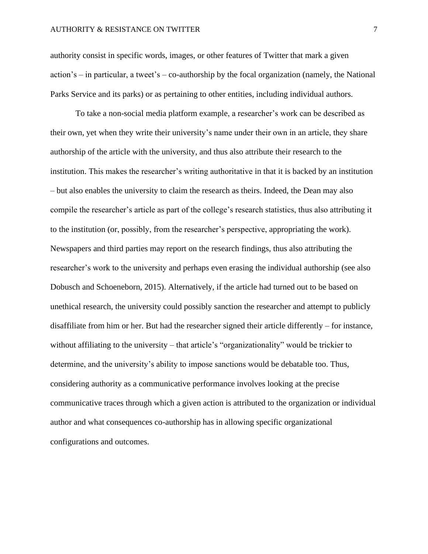authority consist in specific words, images, or other features of Twitter that mark a given action's – in particular, a tweet's – co-authorship by the focal organization (namely, the National Parks Service and its parks) or as pertaining to other entities, including individual authors.

To take a non-social media platform example, a researcher's work can be described as their own, yet when they write their university's name under their own in an article, they share authorship of the article with the university, and thus also attribute their research to the institution. This makes the researcher's writing authoritative in that it is backed by an institution – but also enables the university to claim the research as theirs. Indeed, the Dean may also compile the researcher's article as part of the college's research statistics, thus also attributing it to the institution (or, possibly, from the researcher's perspective, appropriating the work). Newspapers and third parties may report on the research findings, thus also attributing the researcher's work to the university and perhaps even erasing the individual authorship (see also Dobusch and Schoeneborn, 2015). Alternatively, if the article had turned out to be based on unethical research, the university could possibly sanction the researcher and attempt to publicly disaffiliate from him or her. But had the researcher signed their article differently – for instance, without affiliating to the university – that article's "organizationality" would be trickier to determine, and the university's ability to impose sanctions would be debatable too. Thus, considering authority as a communicative performance involves looking at the precise communicative traces through which a given action is attributed to the organization or individual author and what consequences co-authorship has in allowing specific organizational configurations and outcomes.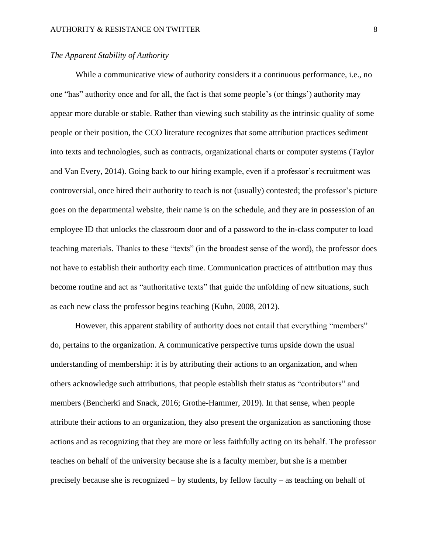## *The Apparent Stability of Authority*

While a communicative view of authority considers it a continuous performance, i.e., no one "has" authority once and for all, the fact is that some people's (or things') authority may appear more durable or stable. Rather than viewing such stability as the intrinsic quality of some people or their position, the CCO literature recognizes that some attribution practices sediment into texts and technologies, such as contracts, organizational charts or computer systems (Taylor and Van Every, 2014). Going back to our hiring example, even if a professor's recruitment was controversial, once hired their authority to teach is not (usually) contested; the professor's picture goes on the departmental website, their name is on the schedule, and they are in possession of an employee ID that unlocks the classroom door and of a password to the in-class computer to load teaching materials. Thanks to these "texts" (in the broadest sense of the word), the professor does not have to establish their authority each time. Communication practices of attribution may thus become routine and act as "authoritative texts" that guide the unfolding of new situations, such as each new class the professor begins teaching (Kuhn, 2008, 2012).

However, this apparent stability of authority does not entail that everything "members" do, pertains to the organization. A communicative perspective turns upside down the usual understanding of membership: it is by attributing their actions to an organization, and when others acknowledge such attributions, that people establish their status as "contributors" and members (Bencherki and Snack, 2016; Grothe-Hammer, 2019). In that sense, when people attribute their actions to an organization, they also present the organization as sanctioning those actions and as recognizing that they are more or less faithfully acting on its behalf. The professor teaches on behalf of the university because she is a faculty member, but she is a member precisely because she is recognized – by students, by fellow faculty – as teaching on behalf of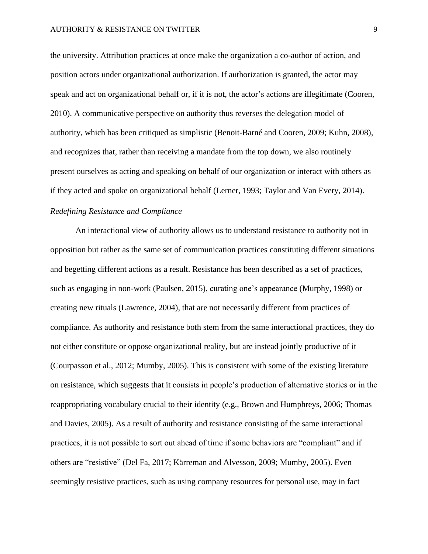the university. Attribution practices at once make the organization a co-author of action, and position actors under organizational authorization. If authorization is granted, the actor may speak and act on organizational behalf or, if it is not, the actor's actions are illegitimate (Cooren, 2010). A communicative perspective on authority thus reverses the delegation model of authority, which has been critiqued as simplistic (Benoit-Barné and Cooren, 2009; Kuhn, 2008), and recognizes that, rather than receiving a mandate from the top down, we also routinely present ourselves as acting and speaking on behalf of our organization or interact with others as if they acted and spoke on organizational behalf (Lerner, 1993; Taylor and Van Every, 2014).

# *Redefining Resistance and Compliance*

An interactional view of authority allows us to understand resistance to authority not in opposition but rather as the same set of communication practices constituting different situations and begetting different actions as a result. Resistance has been described as a set of practices, such as engaging in non-work (Paulsen, 2015), curating one's appearance (Murphy, 1998) or creating new rituals (Lawrence, 2004), that are not necessarily different from practices of compliance. As authority and resistance both stem from the same interactional practices, they do not either constitute or oppose organizational reality, but are instead jointly productive of it (Courpasson et al., 2012; Mumby, 2005). This is consistent with some of the existing literature on resistance, which suggests that it consists in people's production of alternative stories or in the reappropriating vocabulary crucial to their identity (e.g., Brown and Humphreys, 2006; Thomas and Davies, 2005). As a result of authority and resistance consisting of the same interactional practices, it is not possible to sort out ahead of time if some behaviors are "compliant" and if others are "resistive" (Del Fa, 2017; Kärreman and Alvesson, 2009; Mumby, 2005). Even seemingly resistive practices, such as using company resources for personal use, may in fact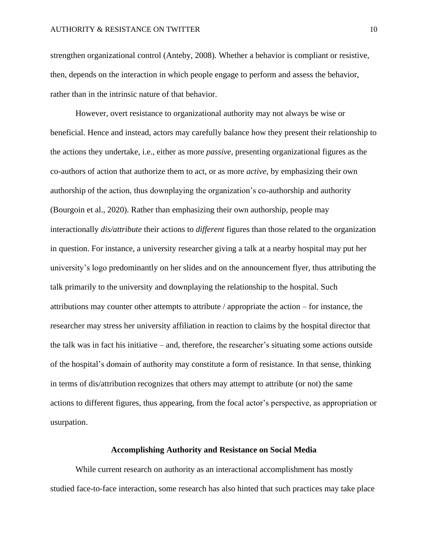strengthen organizational control (Anteby, 2008). Whether a behavior is compliant or resistive, then, depends on the interaction in which people engage to perform and assess the behavior, rather than in the intrinsic nature of that behavior.

However, overt resistance to organizational authority may not always be wise or beneficial. Hence and instead, actors may carefully balance how they present their relationship to the actions they undertake, i.e., either as more *passive*, presenting organizational figures as the co-authors of action that authorize them to act, or as more *active*, by emphasizing their own authorship of the action, thus downplaying the organization's co-authorship and authority (Bourgoin et al., 2020). Rather than emphasizing their own authorship, people may interactionally *dis/attribute* their actions to *different* figures than those related to the organization in question. For instance, a university researcher giving a talk at a nearby hospital may put her university's logo predominantly on her slides and on the announcement flyer, thus attributing the talk primarily to the university and downplaying the relationship to the hospital. Such attributions may counter other attempts to attribute / appropriate the action – for instance, the researcher may stress her university affiliation in reaction to claims by the hospital director that the talk was in fact his initiative – and, therefore, the researcher's situating some actions outside of the hospital's domain of authority may constitute a form of resistance. In that sense, thinking in terms of dis/attribution recognizes that others may attempt to attribute (or not) the same actions to different figures, thus appearing, from the focal actor's perspective, as appropriation or usurpation.

## **Accomplishing Authority and Resistance on Social Media**

While current research on authority as an interactional accomplishment has mostly studied face-to-face interaction, some research has also hinted that such practices may take place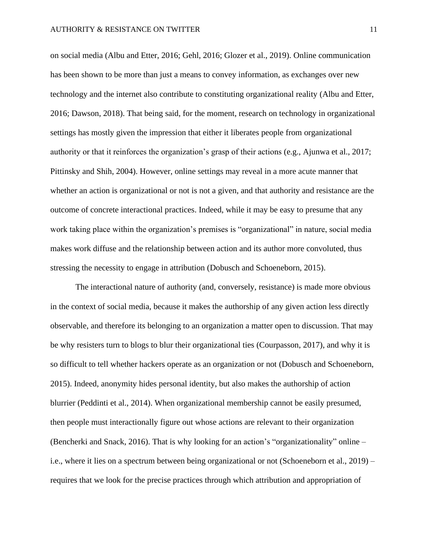on social media (Albu and Etter, 2016; Gehl, 2016; Glozer et al., 2019). Online communication has been shown to be more than just a means to convey information, as exchanges over new technology and the internet also contribute to constituting organizational reality (Albu and Etter, 2016; Dawson, 2018). That being said, for the moment, research on technology in organizational settings has mostly given the impression that either it liberates people from organizational authority or that it reinforces the organization's grasp of their actions (e.g., Ajunwa et al., 2017; Pittinsky and Shih, 2004). However, online settings may reveal in a more acute manner that whether an action is organizational or not is not a given, and that authority and resistance are the outcome of concrete interactional practices. Indeed, while it may be easy to presume that any work taking place within the organization's premises is "organizational" in nature, social media makes work diffuse and the relationship between action and its author more convoluted, thus stressing the necessity to engage in attribution (Dobusch and Schoeneborn, 2015).

The interactional nature of authority (and, conversely, resistance) is made more obvious in the context of social media, because it makes the authorship of any given action less directly observable, and therefore its belonging to an organization a matter open to discussion. That may be why resisters turn to blogs to blur their organizational ties (Courpasson, 2017), and why it is so difficult to tell whether hackers operate as an organization or not (Dobusch and Schoeneborn, 2015). Indeed, anonymity hides personal identity, but also makes the authorship of action blurrier (Peddinti et al., 2014). When organizational membership cannot be easily presumed, then people must interactionally figure out whose actions are relevant to their organization (Bencherki and Snack, 2016). That is why looking for an action's "organizationality" online – i.e., where it lies on a spectrum between being organizational or not (Schoeneborn et al., 2019) – requires that we look for the precise practices through which attribution and appropriation of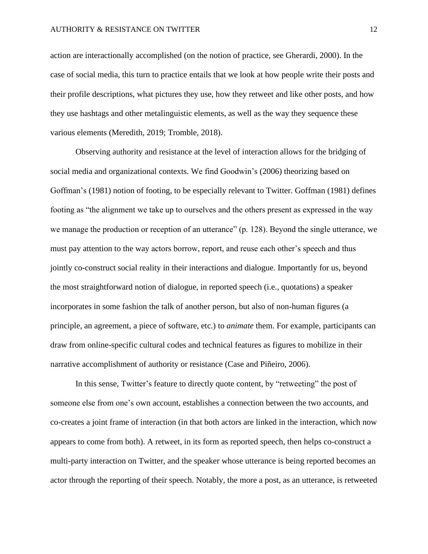action are interactionally accomplished (on the notion of practice, see Gherardi, 2000). In the case of social media, this turn to practice entails that we look at how people write their posts and their profile descriptions, what pictures they use, how they retweet and like other posts, and how they use hashtags and other metalinguistic elements, as well as the way they sequence these various elements (Meredith, 2019; Tromble, 2018).

Observing authority and resistance at the level of interaction allows for the bridging of social media and organizational contexts. We find Goodwin's (2006) theorizing based on Goffman's (1981) notion of footing, to be especially relevant to Twitter. Goffman (1981) defines footing as "the alignment we take up to ourselves and the others present as expressed in the way we manage the production or reception of an utterance" (p. 128). Beyond the single utterance, we must pay attention to the way actors borrow, report, and reuse each other's speech and thus jointly co-construct social reality in their interactions and dialogue. Importantly for us, beyond the most straightforward notion of dialogue, in reported speech (i.e., quotations) a speaker incorporates in some fashion the talk of another person, but also of non-human figures (a principle, an agreement, a piece of software, etc.) to *animate* them. For example, participants can draw from online-specific cultural codes and technical features as figures to mobilize in their narrative accomplishment of authority or resistance (Case and Piñeiro, 2006).

In this sense, Twitter's feature to directly quote content, by "retweeting" the post of someone else from one's own account, establishes a connection between the two accounts, and co-creates a joint frame of interaction (in that both actors are linked in the interaction, which now appears to come from both). A retweet, in its form as reported speech, then helps co-construct a multi-party interaction on Twitter, and the speaker whose utterance is being reported becomes an actor through the reporting of their speech. Notably, the more a post, as an utterance, is retweeted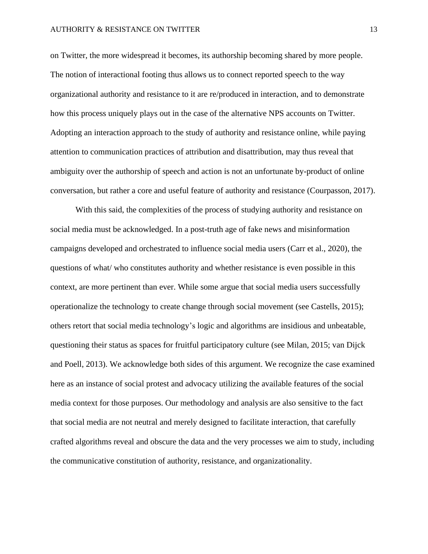on Twitter, the more widespread it becomes, its authorship becoming shared by more people. The notion of interactional footing thus allows us to connect reported speech to the way organizational authority and resistance to it are re/produced in interaction, and to demonstrate how this process uniquely plays out in the case of the alternative NPS accounts on Twitter. Adopting an interaction approach to the study of authority and resistance online, while paying attention to communication practices of attribution and disattribution, may thus reveal that ambiguity over the authorship of speech and action is not an unfortunate by-product of online conversation, but rather a core and useful feature of authority and resistance (Courpasson, 2017).

With this said, the complexities of the process of studying authority and resistance on social media must be acknowledged. In a post-truth age of fake news and misinformation campaigns developed and orchestrated to influence social media users (Carr et al., 2020), the questions of what/ who constitutes authority and whether resistance is even possible in this context, are more pertinent than ever. While some argue that social media users successfully operationalize the technology to create change through social movement (see Castells, 2015); others retort that social media technology's logic and algorithms are insidious and unbeatable, questioning their status as spaces for fruitful participatory culture (see Milan, 2015; van Dijck and Poell, 2013). We acknowledge both sides of this argument. We recognize the case examined here as an instance of social protest and advocacy utilizing the available features of the social media context for those purposes. Our methodology and analysis are also sensitive to the fact that social media are not neutral and merely designed to facilitate interaction, that carefully crafted algorithms reveal and obscure the data and the very processes we aim to study, including the communicative constitution of authority, resistance, and organizationality.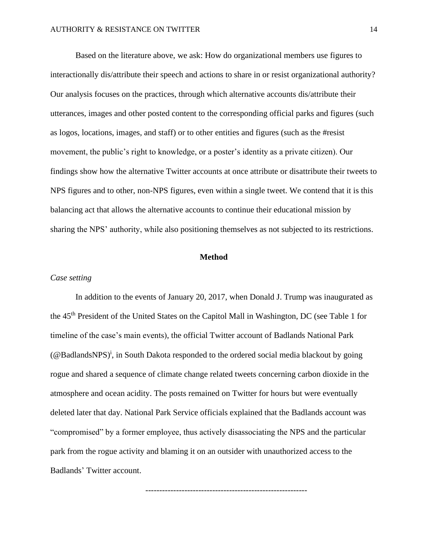Based on the literature above, we ask: How do organizational members use figures to interactionally dis/attribute their speech and actions to share in or resist organizational authority? Our analysis focuses on the practices, through which alternative accounts dis/attribute their utterances, images and other posted content to the corresponding official parks and figures (such as logos, locations, images, and staff) or to other entities and figures (such as the #resist movement, the public's right to knowledge, or a poster's identity as a private citizen). Our findings show how the alternative Twitter accounts at once attribute or disattribute their tweets to NPS figures and to other, non-NPS figures, even within a single tweet. We contend that it is this balancing act that allows the alternative accounts to continue their educational mission by sharing the NPS' authority, while also positioning themselves as not subjected to its restrictions.

### **Method**

### *Case setting*

In addition to the events of January 20, 2017, when Donald J. Trump was inaugurated as the 45th President of the United States on the Capitol Mall in Washington, DC (see Table 1 for timeline of the case's main events), the official Twitter account of Badlands National Park ( $@$ BadlandsNPS)<sup>i</sup>, in South Dakota responded to the ordered social media blackout by going rogue and shared a sequence of climate change related tweets concerning carbon dioxide in the atmosphere and ocean acidity. The posts remained on Twitter for hours but were eventually deleted later that day. National Park Service officials explained that the Badlands account was "compromised" by a former employee, thus actively disassociating the NPS and the particular park from the rogue activity and blaming it on an outsider with unauthorized access to the Badlands' Twitter account.

----------------------------------------------------------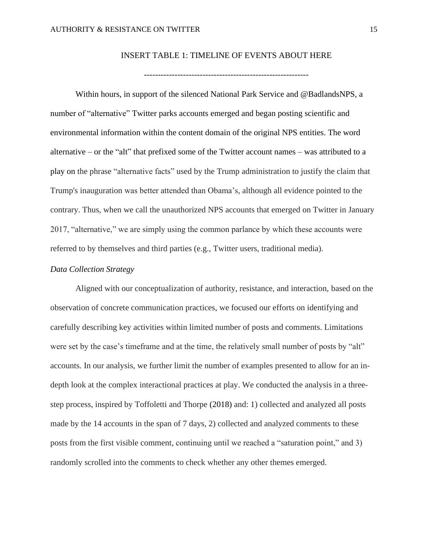# INSERT TABLE 1: TIMELINE OF EVENTS ABOUT HERE

Within hours, in support of the silenced National Park Service and @BadlandsNPS, a number of "alternative" Twitter parks accounts emerged and began posting scientific and environmental information within the content domain of the original NPS entities. The word alternative – or the "alt" that prefixed some of the Twitter account names – was attributed to a play on the phrase "alternative facts" used by the Trump administration to justify the claim that Trump's inauguration was better attended than Obama's, although all evidence pointed to the contrary. Thus, when we call the unauthorized NPS accounts that emerged on Twitter in January 2017, "alternative," we are simply using the common parlance by which these accounts were referred to by themselves and third parties (e.g., Twitter users, traditional media).

## *Data Collection Strategy*

Aligned with our conceptualization of authority, resistance, and interaction, based on the observation of concrete communication practices, we focused our efforts on identifying and carefully describing key activities within limited number of posts and comments. Limitations were set by the case's timeframe and at the time, the relatively small number of posts by "alt" accounts. In our analysis, we further limit the number of examples presented to allow for an indepth look at the complex interactional practices at play. We conducted the analysis in a threestep process, inspired by Toffoletti and Thorpe (2018) and: 1) collected and analyzed all posts made by the 14 accounts in the span of 7 days, 2) collected and analyzed comments to these posts from the first visible comment, continuing until we reached a "saturation point," and 3) randomly scrolled into the comments to check whether any other themes emerged.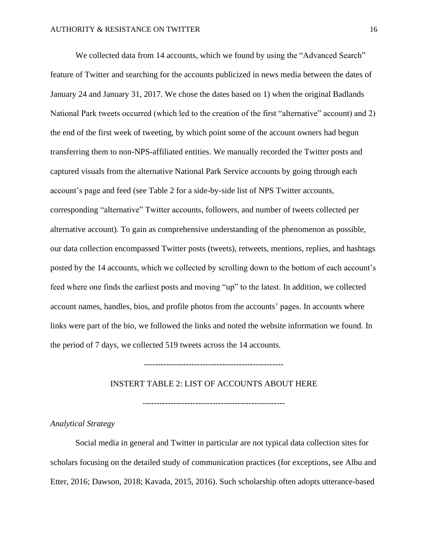We collected data from 14 accounts, which we found by using the "Advanced Search" feature of Twitter and searching for the accounts publicized in news media between the dates of January 24 and January 31, 2017. We chose the dates based on 1) when the original Badlands National Park tweets occurred (which led to the creation of the first "alternative" account) and 2) the end of the first week of tweeting, by which point some of the account owners had begun transferring them to non-NPS-affiliated entities. We manually recorded the Twitter posts and captured visuals from the alternative National Park Service accounts by going through each account's page and feed (see Table 2 for a side-by-side list of NPS Twitter accounts, corresponding "alternative" Twitter accounts, followers, and number of tweets collected per alternative account). To gain as comprehensive understanding of the phenomenon as possible, our data collection encompassed Twitter posts (tweets), retweets, mentions, replies, and hashtags posted by the 14 accounts, which we collected by scrolling down to the bottom of each account's feed where one finds the earliest posts and moving "up" to the latest. In addition, we collected account names, handles, bios, and profile photos from the accounts' pages. In accounts where links were part of the bio, we followed the links and noted the website information we found. In the period of 7 days, we collected 519 tweets across the 14 accounts.

### INSTERT TABLE 2: LIST OF ACCOUNTS ABOUT HERE

---------------------------------------------------

# *Analytical Strategy*

Social media in general and Twitter in particular are not typical data collection sites for scholars focusing on the detailed study of communication practices (for exceptions, see Albu and Etter, 2016; Dawson, 2018; Kavada, 2015, 2016). Such scholarship often adopts utterance-based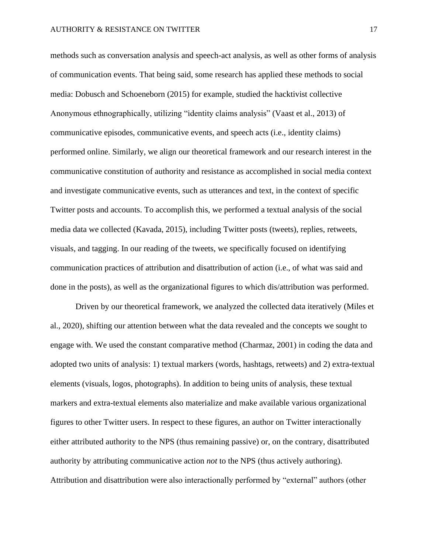methods such as conversation analysis and speech-act analysis, as well as other forms of analysis of communication events. That being said, some research has applied these methods to social media: Dobusch and Schoeneborn (2015) for example, studied the hacktivist collective Anonymous ethnographically, utilizing "identity claims analysis" (Vaast et al., 2013) of communicative episodes, communicative events, and speech acts (i.e., identity claims) performed online. Similarly, we align our theoretical framework and our research interest in the communicative constitution of authority and resistance as accomplished in social media context and investigate communicative events, such as utterances and text, in the context of specific Twitter posts and accounts. To accomplish this, we performed a textual analysis of the social media data we collected (Kavada, 2015), including Twitter posts (tweets), replies, retweets, visuals, and tagging. In our reading of the tweets, we specifically focused on identifying communication practices of attribution and disattribution of action (i.e., of what was said and done in the posts), as well as the organizational figures to which dis/attribution was performed.

Driven by our theoretical framework, we analyzed the collected data iteratively (Miles et al., 2020), shifting our attention between what the data revealed and the concepts we sought to engage with. We used the constant comparative method (Charmaz, 2001) in coding the data and adopted two units of analysis: 1) textual markers (words, hashtags, retweets) and 2) extra-textual elements (visuals, logos, photographs). In addition to being units of analysis, these textual markers and extra-textual elements also materialize and make available various organizational figures to other Twitter users. In respect to these figures, an author on Twitter interactionally either attributed authority to the NPS (thus remaining passive) or, on the contrary, disattributed authority by attributing communicative action *not* to the NPS (thus actively authoring). Attribution and disattribution were also interactionally performed by "external" authors (other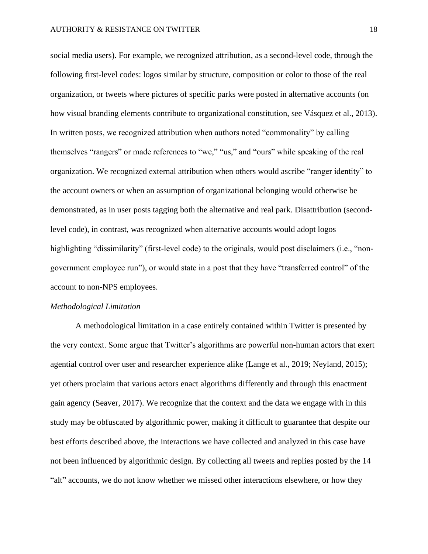social media users). For example, we recognized attribution, as a second-level code, through the following first-level codes: logos similar by structure, composition or color to those of the real organization, or tweets where pictures of specific parks were posted in alternative accounts (on how visual branding elements contribute to organizational constitution, see Vásquez et al., 2013). In written posts, we recognized attribution when authors noted "commonality" by calling themselves "rangers" or made references to "we," "us," and "ours" while speaking of the real organization. We recognized external attribution when others would ascribe "ranger identity" to the account owners or when an assumption of organizational belonging would otherwise be demonstrated, as in user posts tagging both the alternative and real park. Disattribution (secondlevel code), in contrast, was recognized when alternative accounts would adopt logos highlighting "dissimilarity" (first-level code) to the originals, would post disclaimers (i.e., "nongovernment employee run"), or would state in a post that they have "transferred control" of the account to non-NPS employees.

### *Methodological Limitation*

A methodological limitation in a case entirely contained within Twitter is presented by the very context. Some argue that Twitter's algorithms are powerful non-human actors that exert agential control over user and researcher experience alike (Lange et al., 2019; Neyland, 2015); yet others proclaim that various actors enact algorithms differently and through this enactment gain agency (Seaver, 2017). We recognize that the context and the data we engage with in this study may be obfuscated by algorithmic power, making it difficult to guarantee that despite our best efforts described above, the interactions we have collected and analyzed in this case have not been influenced by algorithmic design. By collecting all tweets and replies posted by the 14 "alt" accounts, we do not know whether we missed other interactions elsewhere, or how they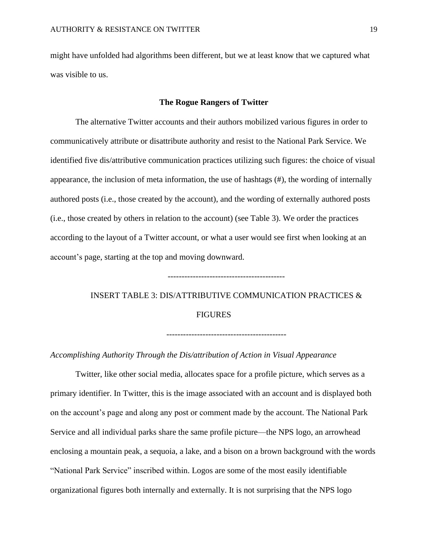might have unfolded had algorithms been different, but we at least know that we captured what was visible to us.

### **The Rogue Rangers of Twitter**

The alternative Twitter accounts and their authors mobilized various figures in order to communicatively attribute or disattribute authority and resist to the National Park Service. We identified five dis/attributive communication practices utilizing such figures: the choice of visual appearance, the inclusion of meta information, the use of hashtags  $(\#)$ , the wording of internally authored posts (i.e., those created by the account), and the wording of externally authored posts (i.e., those created by others in relation to the account) (see Table 3). We order the practices according to the layout of a Twitter account, or what a user would see first when looking at an account's page, starting at the top and moving downward.

# INSERT TABLE 3: DIS/ATTRIBUTIVE COMMUNICATION PRACTICES & FIGURES

-------------------------------------------

*Accomplishing Authority Through the Dis/attribution of Action in Visual Appearance* 

Twitter, like other social media, allocates space for a profile picture, which serves as a primary identifier. In Twitter, this is the image associated with an account and is displayed both on the account's page and along any post or comment made by the account. The National Park Service and all individual parks share the same profile picture—the NPS logo, an arrowhead enclosing a mountain peak, a sequoia, a lake, and a bison on a brown background with the words "National Park Service" inscribed within. Logos are some of the most easily identifiable organizational figures both internally and externally. It is not surprising that the NPS logo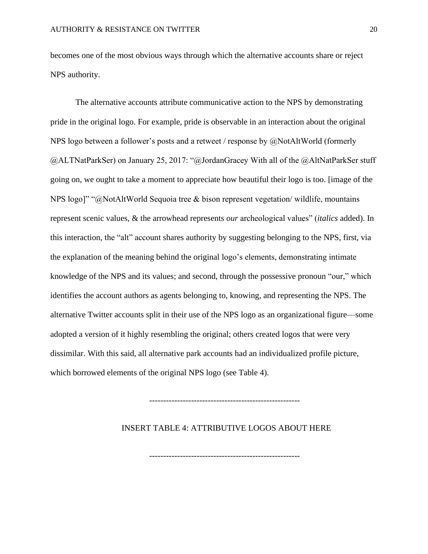becomes one of the most obvious ways through which the alternative accounts share or reject NPS authority.

The alternative accounts attribute communicative action to the NPS by demonstrating pride in the original logo. For example, pride is observable in an interaction about the original NPS logo between a follower's posts and a retweet / response by @NotAltWorld (formerly @ALTNatParkSer) on January 25, 2017: "@JordanGracey With all of the @AltNatParkSer stuff going on, we ought to take a moment to appreciate how beautiful their logo is too. [image of the NPS logo]" "@NotAltWorld Sequoia tree & bison represent vegetation/ wildlife, mountains represent scenic values, & the arrowhead represents *our* archeological values" (*italics* added). In this interaction, the "alt" account shares authority by suggesting belonging to the NPS, first, via the explanation of the meaning behind the original logo's elements, demonstrating intimate knowledge of the NPS and its values; and second, through the possessive pronoun "our," which identifies the account authors as agents belonging to, knowing, and representing the NPS. The alternative Twitter accounts split in their use of the NPS logo as an organizational figure—some adopted a version of it highly resembling the original; others created logos that were very dissimilar. With this said, all alternative park accounts had an individualized profile picture, which borrowed elements of the original NPS logo (see Table 4).

------------------------------------------------------

INSERT TABLE 4: ATTRIBUTIVE LOGOS ABOUT HERE

------------------------------------------------------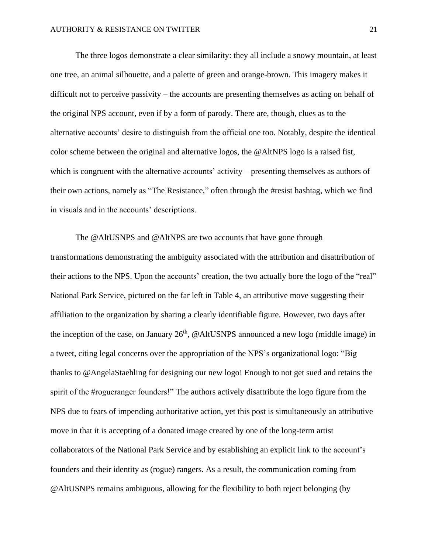The three logos demonstrate a clear similarity: they all include a snowy mountain, at least one tree, an animal silhouette, and a palette of green and orange-brown. This imagery makes it difficult not to perceive passivity – the accounts are presenting themselves as acting on behalf of the original NPS account, even if by a form of parody. There are, though, clues as to the alternative accounts' desire to distinguish from the official one too. Notably, despite the identical color scheme between the original and alternative logos, the @AltNPS logo is a raised fist, which is congruent with the alternative accounts' activity – presenting themselves as authors of their own actions, namely as "The Resistance," often through the #resist hashtag, which we find in visuals and in the accounts' descriptions.

The @AltUSNPS and @AltNPS are two accounts that have gone through transformations demonstrating the ambiguity associated with the attribution and disattribution of their actions to the NPS. Upon the accounts' creation, the two actually bore the logo of the "real" National Park Service, pictured on the far left in Table 4, an attributive move suggesting their affiliation to the organization by sharing a clearly identifiable figure. However, two days after the inception of the case, on January  $26<sup>th</sup>$ , @AltUSNPS announced a new logo (middle image) in a tweet, citing legal concerns over the appropriation of the NPS's organizational logo: "Big thanks to @AngelaStaehling for designing our new logo! Enough to not get sued and retains the spirit of the #rogueranger founders!" The authors actively disattribute the logo figure from the NPS due to fears of impending authoritative action, yet this post is simultaneously an attributive move in that it is accepting of a donated image created by one of the long-term artist collaborators of the National Park Service and by establishing an explicit link to the account's founders and their identity as (rogue) rangers. As a result, the communication coming from @AltUSNPS remains ambiguous, allowing for the flexibility to both reject belonging (by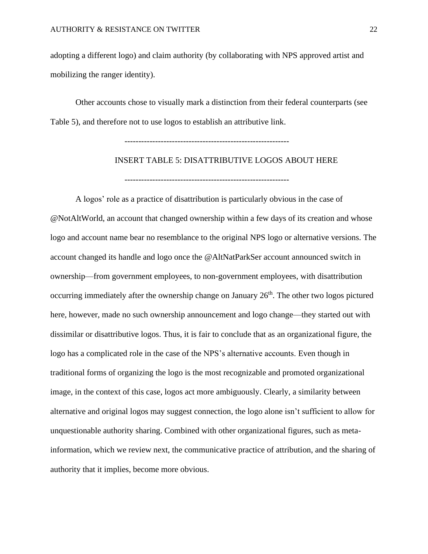adopting a different logo) and claim authority (by collaborating with NPS approved artist and mobilizing the ranger identity).

Other accounts chose to visually mark a distinction from their federal counterparts (see Table 5), and therefore not to use logos to establish an attributive link.

-----------------------------------------------------------

INSERT TABLE 5: DISATTRIBUTIVE LOGOS ABOUT HERE -----------------------------------------------------------

A logos' role as a practice of disattribution is particularly obvious in the case of @NotAltWorld, an account that changed ownership within a few days of its creation and whose logo and account name bear no resemblance to the original NPS logo or alternative versions. The account changed its handle and logo once the @AltNatParkSer account announced switch in ownership—from government employees, to non-government employees, with disattribution occurring immediately after the ownership change on January  $26<sup>th</sup>$ . The other two logos pictured here, however, made no such ownership announcement and logo change—they started out with dissimilar or disattributive logos. Thus, it is fair to conclude that as an organizational figure, the logo has a complicated role in the case of the NPS's alternative accounts. Even though in traditional forms of organizing the logo is the most recognizable and promoted organizational image, in the context of this case, logos act more ambiguously. Clearly, a similarity between alternative and original logos may suggest connection, the logo alone isn't sufficient to allow for unquestionable authority sharing. Combined with other organizational figures, such as metainformation, which we review next, the communicative practice of attribution, and the sharing of authority that it implies, become more obvious.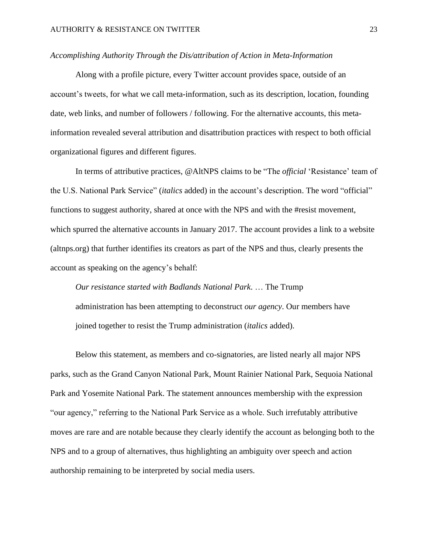### *Accomplishing Authority Through the Dis/attribution of Action in Meta-Information*

Along with a profile picture, every Twitter account provides space, outside of an account's tweets, for what we call meta-information, such as its description, location, founding date, web links, and number of followers / following. For the alternative accounts, this metainformation revealed several attribution and disattribution practices with respect to both official organizational figures and different figures.

In terms of attributive practices, @AltNPS claims to be "The *official* 'Resistance' team of the U.S. National Park Service" (*italics* added) in the account's description. The word "official" functions to suggest authority, shared at once with the NPS and with the #resist movement, which spurred the alternative accounts in January 2017. The account provides a link to a website (altnps.org) that further identifies its creators as part of the NPS and thus, clearly presents the account as speaking on the agency's behalf:

*Our resistance started with Badlands National Park*. … The Trump administration has been attempting to deconstruct *our agency*. Our members have joined together to resist the Trump administration (*italics* added).

Below this statement, as members and co-signatories, are listed nearly all major NPS parks, such as the Grand Canyon National Park, Mount Rainier National Park, Sequoia National Park and Yosemite National Park. The statement announces membership with the expression "our agency," referring to the National Park Service as a whole. Such irrefutably attributive moves are rare and are notable because they clearly identify the account as belonging both to the NPS and to a group of alternatives, thus highlighting an ambiguity over speech and action authorship remaining to be interpreted by social media users.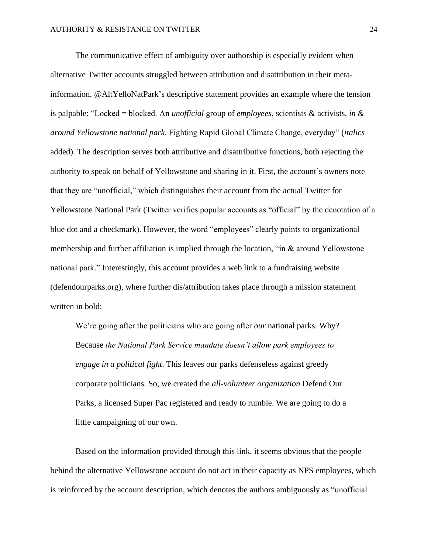The communicative effect of ambiguity over authorship is especially evident when alternative Twitter accounts struggled between attribution and disattribution in their metainformation. @AltYelloNatPark's descriptive statement provides an example where the tension is palpable: "Locked = blocked. An *unofficial* group of *employees*, scientists & activists, *in & around Yellowstone national park*. Fighting Rapid Global Climate Change, everyday" (*italics*  added). The description serves both attributive and disattributive functions, both rejecting the authority to speak on behalf of Yellowstone and sharing in it. First, the account's owners note that they are "unofficial," which distinguishes their account from the actual Twitter for Yellowstone National Park (Twitter verifies popular accounts as "official" by the denotation of a blue dot and a checkmark). However, the word "employees" clearly points to organizational membership and further affiliation is implied through the location, "in & around Yellowstone national park." Interestingly, this account provides a web link to a fundraising website (defendourparks.org), where further dis/attribution takes place through a mission statement written in bold:

We're going after the politicians who are going after *our* national parks. Why? Because *the National Park Service mandate doesn't allow park employees to engage in a political fight*. This leaves our parks defenseless against greedy corporate politicians. So, we created the *all-volunteer organization* Defend Our Parks, a licensed Super Pac registered and ready to rumble. We are going to do a little campaigning of our own.

Based on the information provided through this link, it seems obvious that the people behind the alternative Yellowstone account do not act in their capacity as NPS employees, which is reinforced by the account description, which denotes the authors ambiguously as "unofficial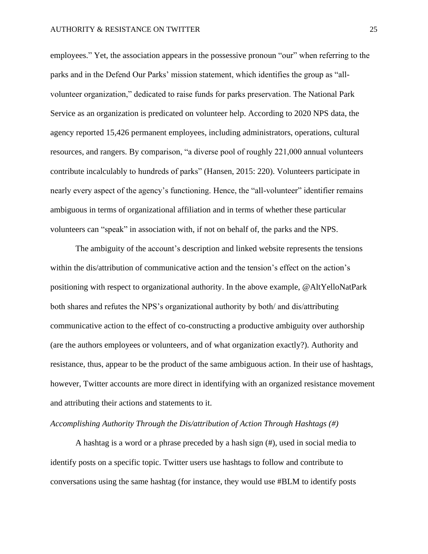employees." Yet, the association appears in the possessive pronoun "our" when referring to the parks and in the Defend Our Parks' mission statement, which identifies the group as "allvolunteer organization," dedicated to raise funds for parks preservation. The National Park Service as an organization is predicated on volunteer help. According to 2020 NPS data, the agency reported 15,426 permanent employees, including administrators, operations, cultural resources, and rangers. By comparison, "a diverse pool of roughly 221,000 annual volunteers contribute incalculably to hundreds of parks" (Hansen, 2015: 220). Volunteers participate in nearly every aspect of the agency's functioning. Hence, the "all-volunteer" identifier remains ambiguous in terms of organizational affiliation and in terms of whether these particular volunteers can "speak" in association with, if not on behalf of, the parks and the NPS.

The ambiguity of the account's description and linked website represents the tensions within the dis/attribution of communicative action and the tension's effect on the action's positioning with respect to organizational authority. In the above example, @AltYelloNatPark both shares and refutes the NPS's organizational authority by both/ and dis/attributing communicative action to the effect of co-constructing a productive ambiguity over authorship (are the authors employees or volunteers, and of what organization exactly?). Authority and resistance, thus, appear to be the product of the same ambiguous action. In their use of hashtags, however, Twitter accounts are more direct in identifying with an organized resistance movement and attributing their actions and statements to it.

# *Accomplishing Authority Through the Dis/attribution of Action Through Hashtags (#)*

A hashtag is a word or a phrase preceded by a hash sign (#), used in social media to identify posts on a specific topic. Twitter users use hashtags to follow and contribute to conversations using the same hashtag (for instance, they would use #BLM to identify posts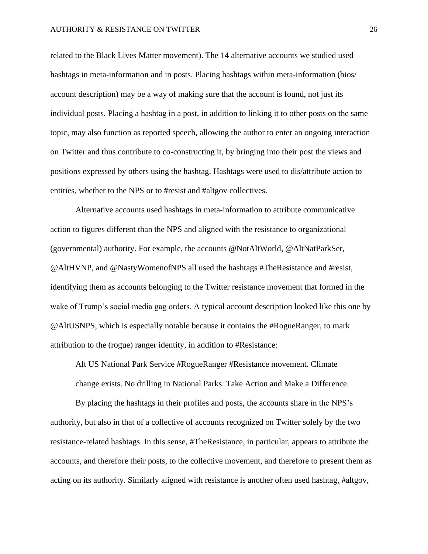related to the Black Lives Matter movement). The 14 alternative accounts we studied used hashtags in meta-information and in posts. Placing hashtags within meta-information (bios/ account description) may be a way of making sure that the account is found, not just its individual posts. Placing a hashtag in a post, in addition to linking it to other posts on the same topic, may also function as reported speech, allowing the author to enter an ongoing interaction on Twitter and thus contribute to co-constructing it, by bringing into their post the views and positions expressed by others using the hashtag. Hashtags were used to dis/attribute action to entities, whether to the NPS or to #resist and #altgov collectives.

Alternative accounts used hashtags in meta-information to attribute communicative action to figures different than the NPS and aligned with the resistance to organizational (governmental) authority. For example, the accounts @NotAltWorld, @AltNatParkSer, @AltHVNP, and @NastyWomenofNPS all used the hashtags #TheResistance and #resist, identifying them as accounts belonging to the Twitter resistance movement that formed in the wake of Trump's social media gag orders. A typical account description looked like this one by @AltUSNPS, which is especially notable because it contains the #RogueRanger, to mark attribution to the (rogue) ranger identity, in addition to #Resistance:

Alt US National Park Service #RogueRanger #Resistance movement. Climate change exists. No drilling in National Parks. Take Action and Make a Difference.

By placing the hashtags in their profiles and posts, the accounts share in the NPS's authority, but also in that of a collective of accounts recognized on Twitter solely by the two resistance-related hashtags. In this sense, #TheResistance, in particular, appears to attribute the accounts, and therefore their posts, to the collective movement, and therefore to present them as acting on its authority. Similarly aligned with resistance is another often used hashtag, #altgov,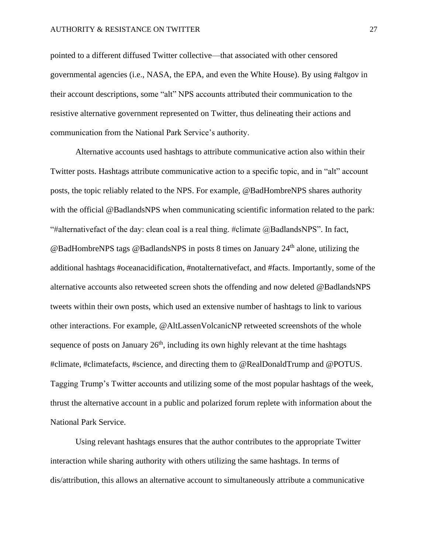pointed to a different diffused Twitter collective—that associated with other censored governmental agencies (i.e., NASA, the EPA, and even the White House). By using #altgov in their account descriptions, some "alt" NPS accounts attributed their communication to the resistive alternative government represented on Twitter, thus delineating their actions and communication from the National Park Service's authority.

Alternative accounts used hashtags to attribute communicative action also within their Twitter posts. Hashtags attribute communicative action to a specific topic, and in "alt" account posts, the topic reliably related to the NPS. For example, @BadHombreNPS shares authority with the official @BadlandsNPS when communicating scientific information related to the park: "#alternativefact of the day: clean coal is a real thing. #climate @BadlandsNPS". In fact,  $@$ BadHombreNPS tags  $@$ BadlandsNPS in posts 8 times on January  $24<sup>th</sup>$  alone, utilizing the additional hashtags #oceanacidification, #notalternativefact, and #facts. Importantly, some of the alternative accounts also retweeted screen shots the offending and now deleted @BadlandsNPS tweets within their own posts, which used an extensive number of hashtags to link to various other interactions. For example, @AltLassenVolcanicNP retweeted screenshots of the whole sequence of posts on January  $26<sup>th</sup>$ , including its own highly relevant at the time hashtags #climate, #climatefacts, #science, and directing them to @RealDonaldTrump and @POTUS. Tagging Trump's Twitter accounts and utilizing some of the most popular hashtags of the week, thrust the alternative account in a public and polarized forum replete with information about the National Park Service.

Using relevant hashtags ensures that the author contributes to the appropriate Twitter interaction while sharing authority with others utilizing the same hashtags. In terms of dis/attribution, this allows an alternative account to simultaneously attribute a communicative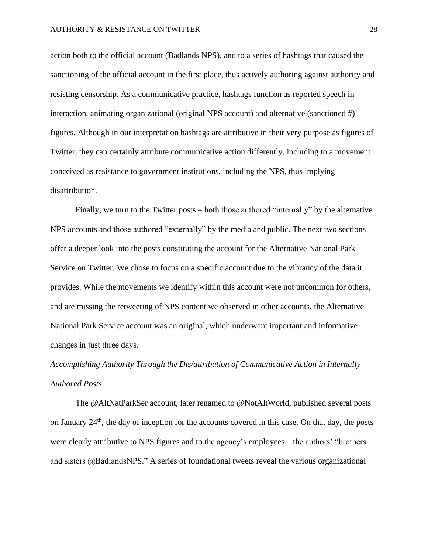action both to the official account (Badlands NPS), and to a series of hashtags that caused the sanctioning of the official account in the first place, thus actively authoring against authority and resisting censorship. As a communicative practice, hashtags function as reported speech in interaction, animating organizational (original NPS account) and alternative (sanctioned #) figures. Although in our interpretation hashtags are attributive in their very purpose as figures of Twitter, they can certainly attribute communicative action differently, including to a movement conceived as resistance to government institutions, including the NPS, thus implying disattribution.

Finally, we turn to the Twitter posts – both those authored "internally" by the alternative NPS accounts and those authored "externally" by the media and public. The next two sections offer a deeper look into the posts constituting the account for the Alternative National Park Service on Twitter. We chose to focus on a specific account due to the vibrancy of the data it provides. While the movements we identify within this account were not uncommon for others, and are missing the retweeting of NPS content we observed in other accounts, the Alternative National Park Service account was an original, which underwent important and informative changes in just three days.

# *Accomplishing Authority Through the Dis/attribution of Communicative Action in Internally Authored Posts*

The @AltNatParkSer account, later renamed to @NotAltWorld, published several posts on January 24th, the day of inception for the accounts covered in this case. On that day, the posts were clearly attributive to NPS figures and to the agency's employees – the authors' "brothers and sisters @BadlandsNPS." A series of foundational tweets reveal the various organizational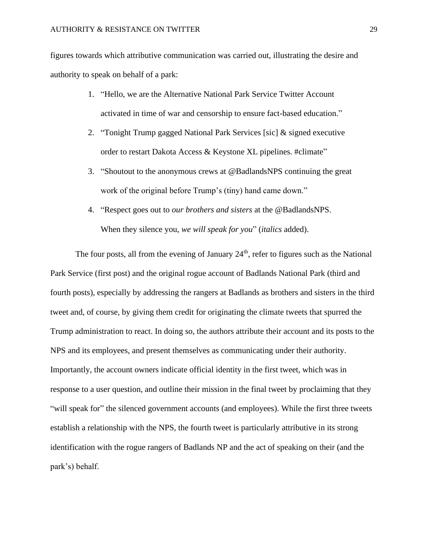figures towards which attributive communication was carried out, illustrating the desire and authority to speak on behalf of a park:

- 1. "Hello, we are the Alternative National Park Service Twitter Account activated in time of war and censorship to ensure fact-based education."
- 2. "Tonight Trump gagged National Park Services [sic] & signed executive order to restart Dakota Access & Keystone XL pipelines. #climate"
- 3. "Shoutout to the anonymous crews at @BadlandsNPS continuing the great work of the original before Trump's (tiny) hand came down."
- 4. "Respect goes out to *our brothers and sisters* at the @BadlandsNPS. When they silence you, *we will speak for you*" (*italics* added).

The four posts, all from the evening of January  $24<sup>th</sup>$ , refer to figures such as the National Park Service (first post) and the original rogue account of Badlands National Park (third and fourth posts), especially by addressing the rangers at Badlands as brothers and sisters in the third tweet and, of course, by giving them credit for originating the climate tweets that spurred the Trump administration to react. In doing so, the authors attribute their account and its posts to the NPS and its employees, and present themselves as communicating under their authority. Importantly, the account owners indicate official identity in the first tweet, which was in response to a user question, and outline their mission in the final tweet by proclaiming that they "will speak for" the silenced government accounts (and employees). While the first three tweets establish a relationship with the NPS, the fourth tweet is particularly attributive in its strong identification with the rogue rangers of Badlands NP and the act of speaking on their (and the park's) behalf.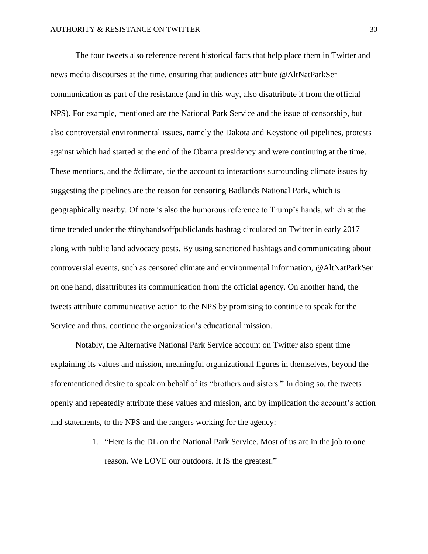The four tweets also reference recent historical facts that help place them in Twitter and news media discourses at the time, ensuring that audiences attribute @AltNatParkSer communication as part of the resistance (and in this way, also disattribute it from the official NPS). For example, mentioned are the National Park Service and the issue of censorship, but also controversial environmental issues, namely the Dakota and Keystone oil pipelines, protests against which had started at the end of the Obama presidency and were continuing at the time. These mentions, and the #climate, tie the account to interactions surrounding climate issues by suggesting the pipelines are the reason for censoring Badlands National Park, which is geographically nearby. Of note is also the humorous reference to Trump's hands, which at the time trended under the #tinyhandsoffpubliclands hashtag circulated on Twitter in early 2017 along with public land advocacy posts. By using sanctioned hashtags and communicating about controversial events, such as censored climate and environmental information, @AltNatParkSer on one hand, disattributes its communication from the official agency. On another hand, the tweets attribute communicative action to the NPS by promising to continue to speak for the Service and thus, continue the organization's educational mission.

Notably, the Alternative National Park Service account on Twitter also spent time explaining its values and mission, meaningful organizational figures in themselves, beyond the aforementioned desire to speak on behalf of its "brothers and sisters." In doing so, the tweets openly and repeatedly attribute these values and mission, and by implication the account's action and statements, to the NPS and the rangers working for the agency:

> 1. "Here is the DL on the National Park Service. Most of us are in the job to one reason. We LOVE our outdoors. It IS the greatest."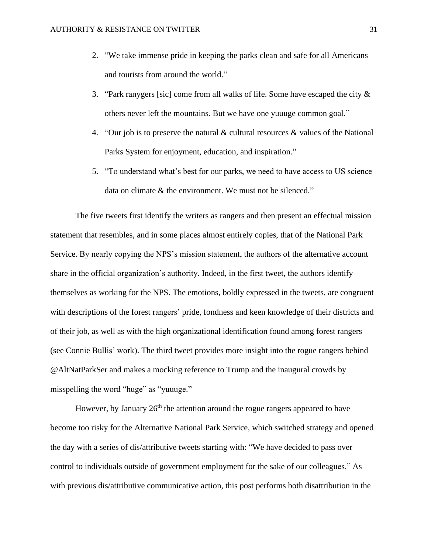- 2. "We take immense pride in keeping the parks clean and safe for all Americans and tourists from around the world."
- 3. "Park ranygers [sic] come from all walks of life. Some have escaped the city  $\&$ others never left the mountains. But we have one yuuuge common goal."
- 4. "Our job is to preserve the natural & cultural resources & values of the National Parks System for enjoyment, education, and inspiration."
- 5. "To understand what's best for our parks, we need to have access to US science data on climate & the environment. We must not be silenced."

The five tweets first identify the writers as rangers and then present an effectual mission statement that resembles, and in some places almost entirely copies, that of the National Park Service. By nearly copying the NPS's mission statement, the authors of the alternative account share in the official organization's authority. Indeed, in the first tweet, the authors identify themselves as working for the NPS. The emotions, boldly expressed in the tweets, are congruent with descriptions of the forest rangers' pride, fondness and keen knowledge of their districts and of their job, as well as with the high organizational identification found among forest rangers (see Connie Bullis' work). The third tweet provides more insight into the rogue rangers behind @AltNatParkSer and makes a mocking reference to Trump and the inaugural crowds by misspelling the word "huge" as "yuuuge."

However, by January  $26<sup>th</sup>$  the attention around the rogue rangers appeared to have become too risky for the Alternative National Park Service, which switched strategy and opened the day with a series of dis/attributive tweets starting with: "We have decided to pass over control to individuals outside of government employment for the sake of our colleagues." As with previous dis/attributive communicative action, this post performs both disattribution in the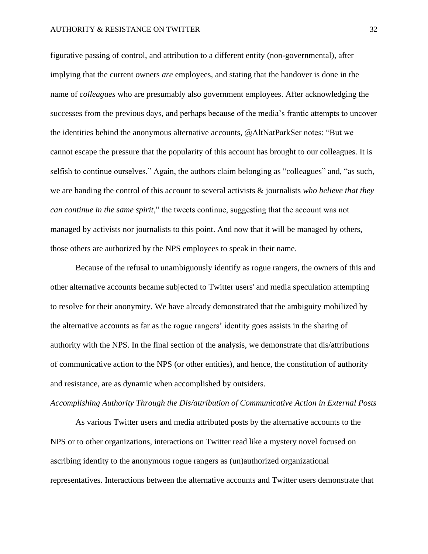#### AUTHORITY & RESISTANCE ON TWITTER 32

figurative passing of control, and attribution to a different entity (non-governmental), after implying that the current owners *are* employees, and stating that the handover is done in the name of *colleagues* who are presumably also government employees. After acknowledging the successes from the previous days, and perhaps because of the media's frantic attempts to uncover the identities behind the anonymous alternative accounts, @AltNatParkSer notes: "But we cannot escape the pressure that the popularity of this account has brought to our colleagues. It is selfish to continue ourselves." Again, the authors claim belonging as "colleagues" and, "as such, we are handing the control of this account to several activists & journalists *who believe that they can continue in the same spirit*," the tweets continue, suggesting that the account was not managed by activists nor journalists to this point. And now that it will be managed by others, those others are authorized by the NPS employees to speak in their name.

Because of the refusal to unambiguously identify as rogue rangers, the owners of this and other alternative accounts became subjected to Twitter users' and media speculation attempting to resolve for their anonymity. We have already demonstrated that the ambiguity mobilized by the alternative accounts as far as the rogue rangers' identity goes assists in the sharing of authority with the NPS. In the final section of the analysis, we demonstrate that dis/attributions of communicative action to the NPS (or other entities), and hence, the constitution of authority and resistance, are as dynamic when accomplished by outsiders.

### *Accomplishing Authority Through the Dis/attribution of Communicative Action in External Posts*

As various Twitter users and media attributed posts by the alternative accounts to the NPS or to other organizations, interactions on Twitter read like a mystery novel focused on ascribing identity to the anonymous rogue rangers as (un)authorized organizational representatives. Interactions between the alternative accounts and Twitter users demonstrate that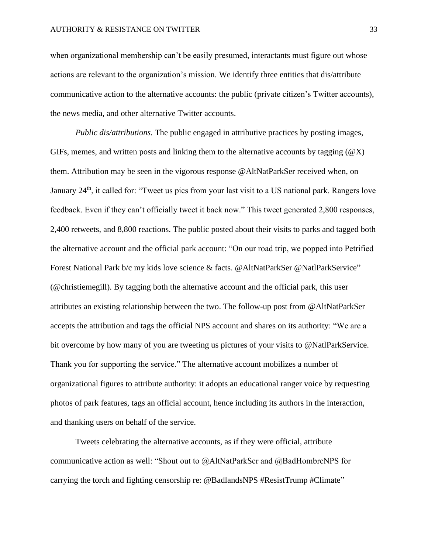when organizational membership can't be easily presumed, interactants must figure out whose actions are relevant to the organization's mission. We identify three entities that dis/attribute communicative action to the alternative accounts: the public (private citizen's Twitter accounts), the news media, and other alternative Twitter accounts.

*Public dis/attributions.* The public engaged in attributive practices by posting images, GIFs, memes, and written posts and linking them to the alternative accounts by tagging  $(\mathcal{Q}X)$ them. Attribution may be seen in the vigorous response @AltNatParkSer received when, on January 24<sup>th</sup>, it called for: "Tweet us pics from your last visit to a US national park. Rangers love feedback. Even if they can't officially tweet it back now." This tweet generated 2,800 responses, 2,400 retweets, and 8,800 reactions. The public posted about their visits to parks and tagged both the alternative account and the official park account: "On our road trip, we popped into Petrified Forest National Park b/c my kids love science & facts. @AltNatParkSer @NatlParkService" (@christiemegill). By tagging both the alternative account and the official park, this user attributes an existing relationship between the two. The follow-up post from @AltNatParkSer accepts the attribution and tags the official NPS account and shares on its authority: "We are a bit overcome by how many of you are tweeting us pictures of your visits to @NatlParkService. Thank you for supporting the service." The alternative account mobilizes a number of organizational figures to attribute authority: it adopts an educational ranger voice by requesting photos of park features, tags an official account, hence including its authors in the interaction, and thanking users on behalf of the service.

Tweets celebrating the alternative accounts, as if they were official, attribute communicative action as well: "Shout out to @AltNatParkSer and @BadHombreNPS for carrying the torch and fighting censorship re: @BadlandsNPS #ResistTrump #Climate"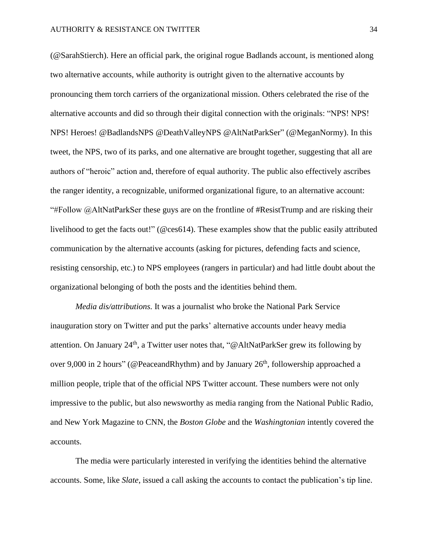(@SarahStierch). Here an official park, the original rogue Badlands account, is mentioned along two alternative accounts, while authority is outright given to the alternative accounts by pronouncing them torch carriers of the organizational mission. Others celebrated the rise of the alternative accounts and did so through their digital connection with the originals: "NPS! NPS! NPS! Heroes! @BadlandsNPS @DeathValleyNPS @AltNatParkSer" (@MeganNormy). In this tweet, the NPS, two of its parks, and one alternative are brought together, suggesting that all are authors of "heroic" action and, therefore of equal authority. The public also effectively ascribes the ranger identity, a recognizable, uniformed organizational figure, to an alternative account: "#Follow @AltNatParkSer these guys are on the frontline of #ResistTrump and are risking their livelihood to get the facts out!" (@ces614). These examples show that the public easily attributed communication by the alternative accounts (asking for pictures, defending facts and science, resisting censorship, etc.) to NPS employees (rangers in particular) and had little doubt about the organizational belonging of both the posts and the identities behind them.

*Media dis/attributions.* It was a journalist who broke the National Park Service inauguration story on Twitter and put the parks' alternative accounts under heavy media attention. On January 24<sup>th</sup>, a Twitter user notes that, "@AltNatParkSer grew its following by over 9,000 in 2 hours" (@PeaceandRhythm) and by January  $26<sup>th</sup>$ , followership approached a million people, triple that of the official NPS Twitter account. These numbers were not only impressive to the public, but also newsworthy as media ranging from the National Public Radio, and New York Magazine to CNN, the *Boston Globe* and the *Washingtonian* intently covered the accounts.

The media were particularly interested in verifying the identities behind the alternative accounts. Some, like *Slate*, issued a call asking the accounts to contact the publication's tip line.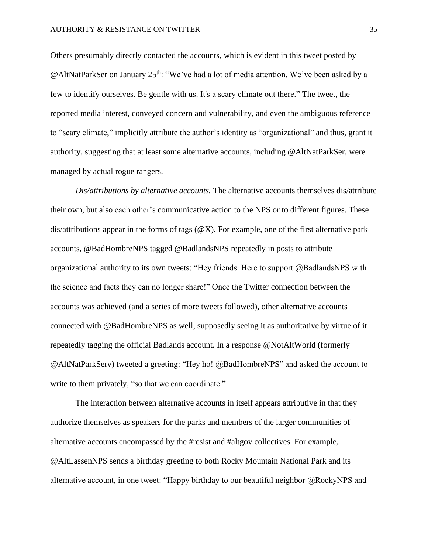Others presumably directly contacted the accounts, which is evident in this tweet posted by @AltNatParkSer on January 25<sup>th</sup>: "We've had a lot of media attention. We've been asked by a few to identify ourselves. Be gentle with us. It's a scary climate out there." The tweet, the reported media interest, conveyed concern and vulnerability, and even the ambiguous reference to "scary climate," implicitly attribute the author's identity as "organizational" and thus, grant it authority, suggesting that at least some alternative accounts, including @AltNatParkSer, were managed by actual rogue rangers.

*Dis/attributions by alternative accounts.* The alternative accounts themselves dis/attribute their own, but also each other's communicative action to the NPS or to different figures. These dis/attributions appear in the forms of tags  $(\mathcal{Q}X)$ . For example, one of the first alternative park accounts, @BadHombreNPS tagged @BadlandsNPS repeatedly in posts to attribute organizational authority to its own tweets: "Hey friends. Here to support  $@$ BadlandsNPS with the science and facts they can no longer share!" Once the Twitter connection between the accounts was achieved (and a series of more tweets followed), other alternative accounts connected with @BadHombreNPS as well, supposedly seeing it as authoritative by virtue of it repeatedly tagging the official Badlands account. In a response @NotAltWorld (formerly @AltNatParkServ) tweeted a greeting: "Hey ho! @BadHombreNPS" and asked the account to write to them privately, "so that we can coordinate."

The interaction between alternative accounts in itself appears attributive in that they authorize themselves as speakers for the parks and members of the larger communities of alternative accounts encompassed by the #resist and #altgov collectives. For example, @AltLassenNPS sends a birthday greeting to both Rocky Mountain National Park and its alternative account, in one tweet: "Happy birthday to our beautiful neighbor  $\omega$ RockyNPS and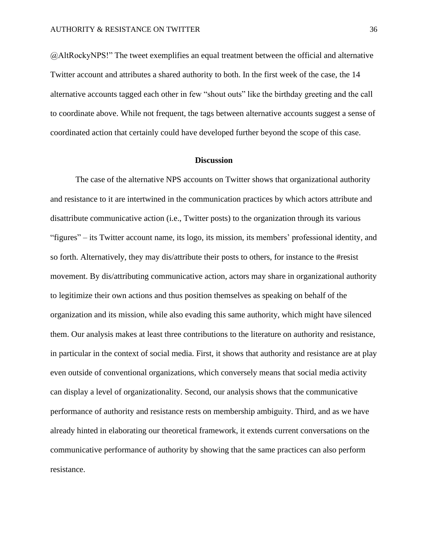@AltRockyNPS!" The tweet exemplifies an equal treatment between the official and alternative Twitter account and attributes a shared authority to both. In the first week of the case, the 14 alternative accounts tagged each other in few "shout outs" like the birthday greeting and the call to coordinate above. While not frequent, the tags between alternative accounts suggest a sense of coordinated action that certainly could have developed further beyond the scope of this case.

#### **Discussion**

The case of the alternative NPS accounts on Twitter shows that organizational authority and resistance to it are intertwined in the communication practices by which actors attribute and disattribute communicative action (i.e., Twitter posts) to the organization through its various "figures" – its Twitter account name, its logo, its mission, its members' professional identity, and so forth. Alternatively, they may dis/attribute their posts to others, for instance to the #resist movement. By dis/attributing communicative action, actors may share in organizational authority to legitimize their own actions and thus position themselves as speaking on behalf of the organization and its mission, while also evading this same authority, which might have silenced them. Our analysis makes at least three contributions to the literature on authority and resistance, in particular in the context of social media. First, it shows that authority and resistance are at play even outside of conventional organizations, which conversely means that social media activity can display a level of organizationality. Second, our analysis shows that the communicative performance of authority and resistance rests on membership ambiguity. Third, and as we have already hinted in elaborating our theoretical framework, it extends current conversations on the communicative performance of authority by showing that the same practices can also perform resistance.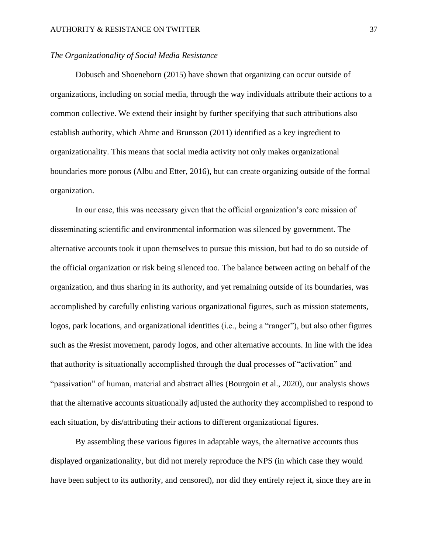## *The Organizationality of Social Media Resistance*

Dobusch and Shoeneborn (2015) have shown that organizing can occur outside of organizations, including on social media, through the way individuals attribute their actions to a common collective. We extend their insight by further specifying that such attributions also establish authority, which Ahrne and Brunsson (2011) identified as a key ingredient to organizationality. This means that social media activity not only makes organizational boundaries more porous (Albu and Etter, 2016), but can create organizing outside of the formal organization.

In our case, this was necessary given that the official organization's core mission of disseminating scientific and environmental information was silenced by government. The alternative accounts took it upon themselves to pursue this mission, but had to do so outside of the official organization or risk being silenced too. The balance between acting on behalf of the organization, and thus sharing in its authority, and yet remaining outside of its boundaries, was accomplished by carefully enlisting various organizational figures, such as mission statements, logos, park locations, and organizational identities (i.e., being a "ranger"), but also other figures such as the #resist movement, parody logos, and other alternative accounts. In line with the idea that authority is situationally accomplished through the dual processes of "activation" and "passivation" of human, material and abstract allies (Bourgoin et al., 2020), our analysis shows that the alternative accounts situationally adjusted the authority they accomplished to respond to each situation, by dis/attributing their actions to different organizational figures.

By assembling these various figures in adaptable ways, the alternative accounts thus displayed organizationality, but did not merely reproduce the NPS (in which case they would have been subject to its authority, and censored), nor did they entirely reject it, since they are in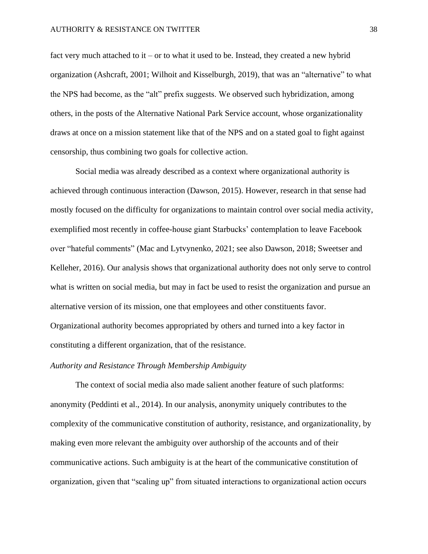fact very much attached to it – or to what it used to be. Instead, they created a new hybrid organization (Ashcraft, 2001; Wilhoit and Kisselburgh, 2019), that was an "alternative" to what the NPS had become, as the "alt" prefix suggests. We observed such hybridization, among others, in the posts of the Alternative National Park Service account, whose organizationality draws at once on a mission statement like that of the NPS and on a stated goal to fight against censorship, thus combining two goals for collective action.

Social media was already described as a context where organizational authority is achieved through continuous interaction (Dawson, 2015). However, research in that sense had mostly focused on the difficulty for organizations to maintain control over social media activity, exemplified most recently in coffee-house giant Starbucks' contemplation to leave Facebook over "hateful comments" (Mac and Lytvynenko, 2021; see also Dawson, 2018; Sweetser and Kelleher, 2016). Our analysis shows that organizational authority does not only serve to control what is written on social media, but may in fact be used to resist the organization and pursue an alternative version of its mission, one that employees and other constituents favor. Organizational authority becomes appropriated by others and turned into a key factor in constituting a different organization, that of the resistance.

# *Authority and Resistance Through Membership Ambiguity*

The context of social media also made salient another feature of such platforms: anonymity (Peddinti et al., 2014). In our analysis, anonymity uniquely contributes to the complexity of the communicative constitution of authority, resistance, and organizationality, by making even more relevant the ambiguity over authorship of the accounts and of their communicative actions. Such ambiguity is at the heart of the communicative constitution of organization, given that "scaling up" from situated interactions to organizational action occurs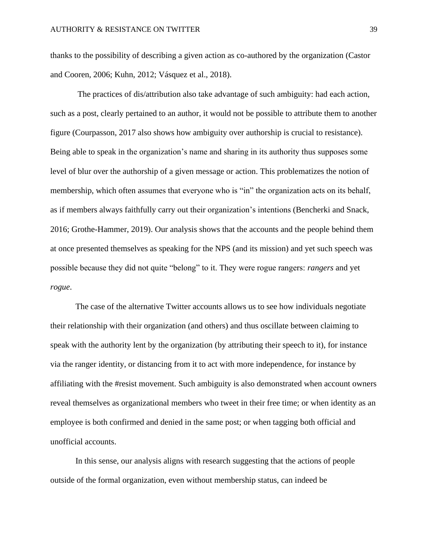thanks to the possibility of describing a given action as co-authored by the organization (Castor and Cooren, 2006; Kuhn, 2012; Vásquez et al., 2018).

The practices of dis/attribution also take advantage of such ambiguity: had each action, such as a post, clearly pertained to an author, it would not be possible to attribute them to another figure (Courpasson, 2017 also shows how ambiguity over authorship is crucial to resistance). Being able to speak in the organization's name and sharing in its authority thus supposes some level of blur over the authorship of a given message or action. This problematizes the notion of membership, which often assumes that everyone who is "in" the organization acts on its behalf, as if members always faithfully carry out their organization's intentions (Bencherki and Snack, 2016; Grothe-Hammer, 2019). Our analysis shows that the accounts and the people behind them at once presented themselves as speaking for the NPS (and its mission) and yet such speech was possible because they did not quite "belong" to it. They were rogue rangers: *rangers* and yet *rogue*.

The case of the alternative Twitter accounts allows us to see how individuals negotiate their relationship with their organization (and others) and thus oscillate between claiming to speak with the authority lent by the organization (by attributing their speech to it), for instance via the ranger identity, or distancing from it to act with more independence, for instance by affiliating with the #resist movement. Such ambiguity is also demonstrated when account owners reveal themselves as organizational members who tweet in their free time; or when identity as an employee is both confirmed and denied in the same post; or when tagging both official and unofficial accounts.

In this sense, our analysis aligns with research suggesting that the actions of people outside of the formal organization, even without membership status, can indeed be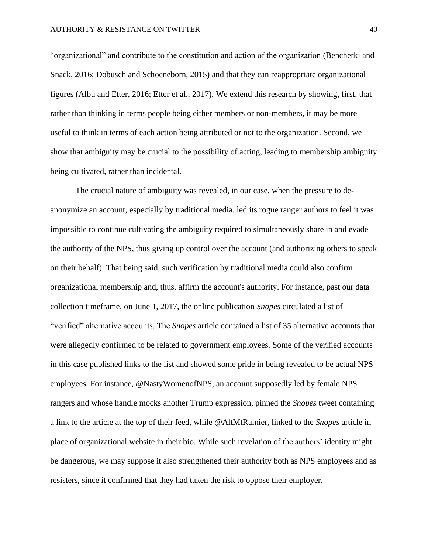"organizational" and contribute to the constitution and action of the organization (Bencherki and Snack, 2016; Dobusch and Schoeneborn, 2015) and that they can reappropriate organizational figures (Albu and Etter, 2016; Etter et al., 2017). We extend this research by showing, first, that rather than thinking in terms people being either members or non-members, it may be more useful to think in terms of each action being attributed or not to the organization. Second, we show that ambiguity may be crucial to the possibility of acting, leading to membership ambiguity being cultivated, rather than incidental.

The crucial nature of ambiguity was revealed, in our case, when the pressure to deanonymize an account, especially by traditional media, led its rogue ranger authors to feel it was impossible to continue cultivating the ambiguity required to simultaneously share in and evade the authority of the NPS, thus giving up control over the account (and authorizing others to speak on their behalf). That being said, such verification by traditional media could also confirm organizational membership and, thus, affirm the account's authority. For instance, past our data collection timeframe, on June 1, 2017, the online publication *Snopes* circulated a list of "verified" alternative accounts. The *Snopes* article contained a list of 35 alternative accounts that were allegedly confirmed to be related to government employees. Some of the verified accounts in this case published links to the list and showed some pride in being revealed to be actual NPS employees. For instance, @NastyWomenofNPS, an account supposedly led by female NPS rangers and whose handle mocks another Trump expression, pinned the *Snopes* tweet containing a link to the article at the top of their feed, while @AltMtRainier, linked to the *Snopes* article in place of organizational website in their bio. While such revelation of the authors' identity might be dangerous, we may suppose it also strengthened their authority both as NPS employees and as resisters, since it confirmed that they had taken the risk to oppose their employer.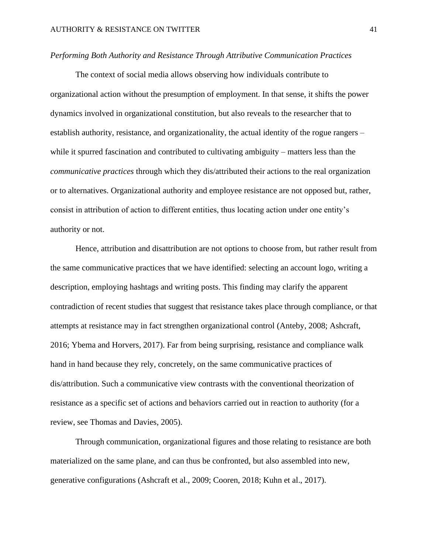### *Performing Both Authority and Resistance Through Attributive Communication Practices*

The context of social media allows observing how individuals contribute to organizational action without the presumption of employment. In that sense, it shifts the power dynamics involved in organizational constitution, but also reveals to the researcher that to establish authority, resistance, and organizationality, the actual identity of the rogue rangers – while it spurred fascination and contributed to cultivating ambiguity – matters less than the *communicative practices* through which they dis/attributed their actions to the real organization or to alternatives. Organizational authority and employee resistance are not opposed but, rather, consist in attribution of action to different entities, thus locating action under one entity's authority or not.

Hence, attribution and disattribution are not options to choose from, but rather result from the same communicative practices that we have identified: selecting an account logo, writing a description, employing hashtags and writing posts. This finding may clarify the apparent contradiction of recent studies that suggest that resistance takes place through compliance, or that attempts at resistance may in fact strengthen organizational control (Anteby, 2008; Ashcraft, 2016; Ybema and Horvers, 2017). Far from being surprising, resistance and compliance walk hand in hand because they rely, concretely, on the same communicative practices of dis/attribution. Such a communicative view contrasts with the conventional theorization of resistance as a specific set of actions and behaviors carried out in reaction to authority (for a review, see Thomas and Davies, 2005).

Through communication, organizational figures and those relating to resistance are both materialized on the same plane, and can thus be confronted, but also assembled into new, generative configurations (Ashcraft et al., 2009; Cooren, 2018; Kuhn et al., 2017).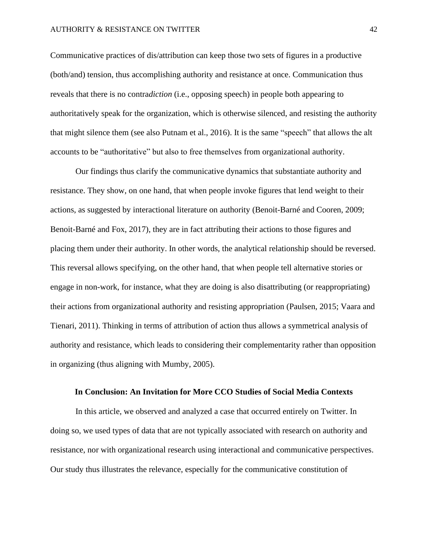#### AUTHORITY & RESISTANCE ON TWITTER 42

Communicative practices of dis/attribution can keep those two sets of figures in a productive (both/and) tension, thus accomplishing authority and resistance at once. Communication thus reveals that there is no contra*diction* (i.e., opposing speech) in people both appearing to authoritatively speak for the organization, which is otherwise silenced, and resisting the authority that might silence them (see also Putnam et al., 2016). It is the same "speech" that allows the alt accounts to be "authoritative" but also to free themselves from organizational authority.

Our findings thus clarify the communicative dynamics that substantiate authority and resistance. They show, on one hand, that when people invoke figures that lend weight to their actions, as suggested by interactional literature on authority (Benoit-Barné and Cooren, 2009; Benoit-Barné and Fox, 2017), they are in fact attributing their actions to those figures and placing them under their authority. In other words, the analytical relationship should be reversed. This reversal allows specifying, on the other hand, that when people tell alternative stories or engage in non-work, for instance, what they are doing is also disattributing (or reappropriating) their actions from organizational authority and resisting appropriation (Paulsen, 2015; Vaara and Tienari, 2011). Thinking in terms of attribution of action thus allows a symmetrical analysis of authority and resistance, which leads to considering their complementarity rather than opposition in organizing (thus aligning with Mumby, 2005).

## **In Conclusion: An Invitation for More CCO Studies of Social Media Contexts**

In this article, we observed and analyzed a case that occurred entirely on Twitter. In doing so, we used types of data that are not typically associated with research on authority and resistance, nor with organizational research using interactional and communicative perspectives. Our study thus illustrates the relevance, especially for the communicative constitution of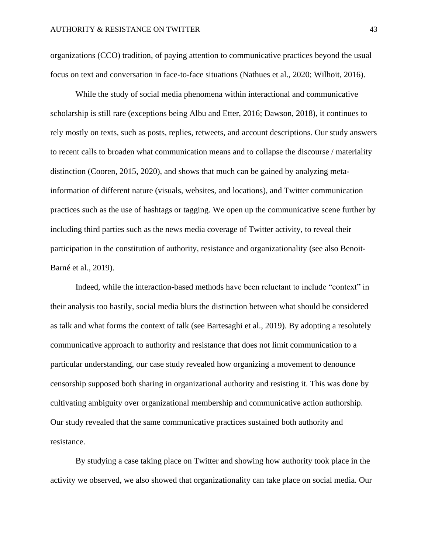organizations (CCO) tradition, of paying attention to communicative practices beyond the usual focus on text and conversation in face-to-face situations (Nathues et al., 2020; Wilhoit, 2016).

While the study of social media phenomena within interactional and communicative scholarship is still rare (exceptions being Albu and Etter, 2016; Dawson, 2018), it continues to rely mostly on texts, such as posts, replies, retweets, and account descriptions. Our study answers to recent calls to broaden what communication means and to collapse the discourse / materiality distinction (Cooren, 2015, 2020), and shows that much can be gained by analyzing metainformation of different nature (visuals, websites, and locations), and Twitter communication practices such as the use of hashtags or tagging. We open up the communicative scene further by including third parties such as the news media coverage of Twitter activity, to reveal their participation in the constitution of authority, resistance and organizationality (see also Benoit-Barné et al., 2019).

Indeed, while the interaction-based methods have been reluctant to include "context" in their analysis too hastily, social media blurs the distinction between what should be considered as talk and what forms the context of talk (see Bartesaghi et al., 2019). By adopting a resolutely communicative approach to authority and resistance that does not limit communication to a particular understanding, our case study revealed how organizing a movement to denounce censorship supposed both sharing in organizational authority and resisting it. This was done by cultivating ambiguity over organizational membership and communicative action authorship. Our study revealed that the same communicative practices sustained both authority and resistance.

By studying a case taking place on Twitter and showing how authority took place in the activity we observed, we also showed that organizationality can take place on social media. Our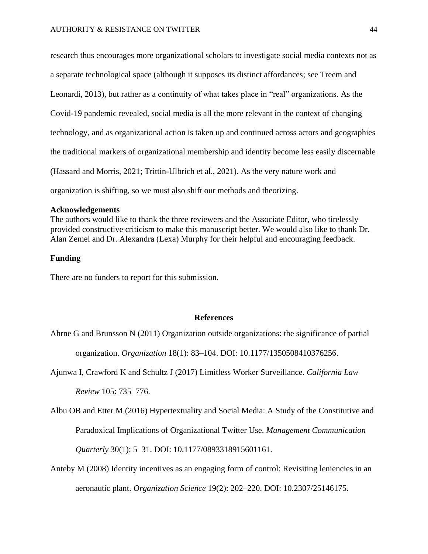research thus encourages more organizational scholars to investigate social media contexts not as

a separate technological space (although it supposes its distinct affordances; see Treem and

Leonardi, 2013), but rather as a continuity of what takes place in "real" organizations. As the

Covid-19 pandemic revealed, social media is all the more relevant in the context of changing

technology, and as organizational action is taken up and continued across actors and geographies

the traditional markers of organizational membership and identity become less easily discernable

(Hassard and Morris, 2021; Trittin-Ulbrich et al., 2021). As the very nature work and

organization is shifting, so we must also shift our methods and theorizing.

### **Acknowledgements**

The authors would like to thank the three reviewers and the Associate Editor, who tirelessly provided constructive criticism to make this manuscript better. We would also like to thank Dr. Alan Zemel and Dr. Alexandra (Lexa) Murphy for their helpful and encouraging feedback.

# **Funding**

There are no funders to report for this submission.

### **References**

Ahrne G and Brunsson N (2011) Organization outside organizations: the significance of partial

organization. *Organization* 18(1): 83–104. DOI: 10.1177/1350508410376256.

Ajunwa I, Crawford K and Schultz J (2017) Limitless Worker Surveillance. *California Law* 

*Review* 105: 735–776.

Albu OB and Etter M (2016) Hypertextuality and Social Media: A Study of the Constitutive and Paradoxical Implications of Organizational Twitter Use. *Management Communication Quarterly* 30(1): 5–31. DOI: 10.1177/0893318915601161.

Anteby M (2008) Identity incentives as an engaging form of control: Revisiting leniencies in an aeronautic plant. *Organization Science* 19(2): 202–220. DOI: 10.2307/25146175.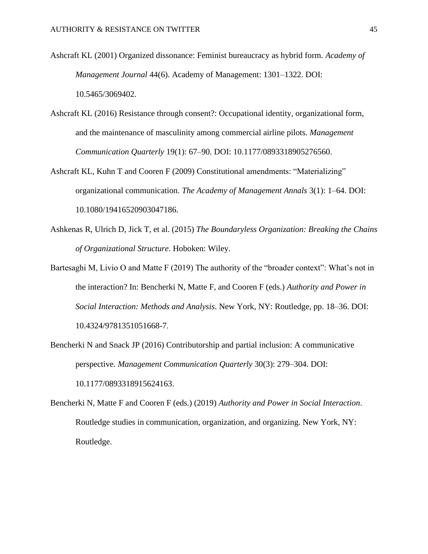- Ashcraft KL (2001) Organized dissonance: Feminist bureaucracy as hybrid form. *Academy of Management Journal* 44(6). Academy of Management: 1301–1322. DOI: 10.5465/3069402.
- Ashcraft KL (2016) Resistance through consent?: Occupational identity, organizational form, and the maintenance of masculinity among commercial airline pilots. *Management Communication Quarterly* 19(1): 67–90. DOI: 10.1177/0893318905276560.
- Ashcraft KL, Kuhn T and Cooren F (2009) Constitutional amendments: "Materializing" organizational communication. *The Academy of Management Annals* 3(1): 1–64. DOI: 10.1080/19416520903047186.
- Ashkenas R, Ulrich D, Jick T, et al. (2015) *The Boundaryless Organization: Breaking the Chains of Organizational Structure*. Hoboken: Wiley.
- Bartesaghi M, Livio O and Matte F (2019) The authority of the "broader context": What's not in the interaction? In: Bencherki N, Matte F, and Cooren F (eds.) *Authority and Power in Social Interaction: Methods and Analysis*. New York, NY: Routledge, pp. 18–36. DOI: 10.4324/9781351051668-7.
- Bencherki N and Snack JP (2016) Contributorship and partial inclusion: A communicative perspective. *Management Communication Quarterly* 30(3): 279–304. DOI: 10.1177/0893318915624163.
- Bencherki N, Matte F and Cooren F (eds.) (2019) *Authority and Power in Social Interaction*. Routledge studies in communication, organization, and organizing. New York, NY: Routledge.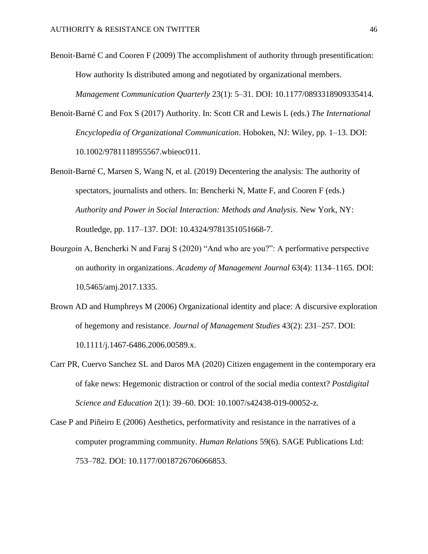- Benoit-Barné C and Cooren F (2009) The accomplishment of authority through presentification: How authority Is distributed among and negotiated by organizational members. *Management Communication Quarterly* 23(1): 5–31. DOI: 10.1177/0893318909335414.
- Benoit-Barné C and Fox S (2017) Authority. In: Scott CR and Lewis L (eds.) *The International Encyclopedia of Organizational Communication*. Hoboken, NJ: Wiley, pp. 1–13. DOI: 10.1002/9781118955567.wbieoc011.
- Benoit-Barné C, Marsen S, Wang N, et al. (2019) Decentering the analysis: The authority of spectators, journalists and others. In: Bencherki N, Matte F, and Cooren F (eds.) *Authority and Power in Social Interaction: Methods and Analysis*. New York, NY: Routledge, pp. 117–137. DOI: 10.4324/9781351051668-7.
- Bourgoin A, Bencherki N and Faraj S (2020) "And who are you?": A performative perspective on authority in organizations. *Academy of Management Journal* 63(4): 1134–1165. DOI: 10.5465/amj.2017.1335.
- Brown AD and Humphreys M (2006) Organizational identity and place: A discursive exploration of hegemony and resistance. *Journal of Management Studies* 43(2): 231–257. DOI: 10.1111/j.1467-6486.2006.00589.x.
- Carr PR, Cuervo Sanchez SL and Daros MA (2020) Citizen engagement in the contemporary era of fake news: Hegemonic distraction or control of the social media context? *Postdigital Science and Education* 2(1): 39–60. DOI: 10.1007/s42438-019-00052-z.
- Case P and Piñeiro E (2006) Aesthetics, performativity and resistance in the narratives of a computer programming community. *Human Relations* 59(6). SAGE Publications Ltd: 753–782. DOI: 10.1177/0018726706066853.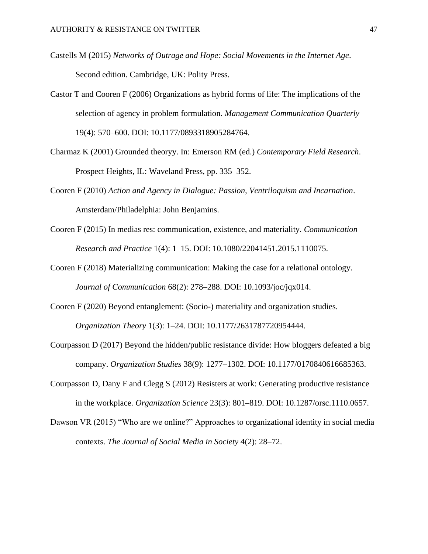- Castells M (2015) *Networks of Outrage and Hope: Social Movements in the Internet Age*. Second edition. Cambridge, UK: Polity Press.
- Castor T and Cooren F (2006) Organizations as hybrid forms of life: The implications of the selection of agency in problem formulation. *Management Communication Quarterly* 19(4): 570–600. DOI: 10.1177/0893318905284764.
- Charmaz K (2001) Grounded theoryy. In: Emerson RM (ed.) *Contemporary Field Research*. Prospect Heights, IL: Waveland Press, pp. 335–352.
- Cooren F (2010) *Action and Agency in Dialogue: Passion, Ventriloquism and Incarnation*. Amsterdam/Philadelphia: John Benjamins.
- Cooren F (2015) In medias res: communication, existence, and materiality. *Communication Research and Practice* 1(4): 1–15. DOI: 10.1080/22041451.2015.1110075.
- Cooren F (2018) Materializing communication: Making the case for a relational ontology. *Journal of Communication* 68(2): 278–288. DOI: 10.1093/joc/jqx014.
- Cooren F (2020) Beyond entanglement: (Socio-) materiality and organization studies. *Organization Theory* 1(3): 1–24. DOI: 10.1177/2631787720954444.
- Courpasson D (2017) Beyond the hidden/public resistance divide: How bloggers defeated a big company. *Organization Studies* 38(9): 1277–1302. DOI: 10.1177/0170840616685363.
- Courpasson D, Dany F and Clegg S (2012) Resisters at work: Generating productive resistance in the workplace. *Organization Science* 23(3): 801–819. DOI: 10.1287/orsc.1110.0657.
- Dawson VR (2015) "Who are we online?" Approaches to organizational identity in social media contexts. *The Journal of Social Media in Society* 4(2): 28–72.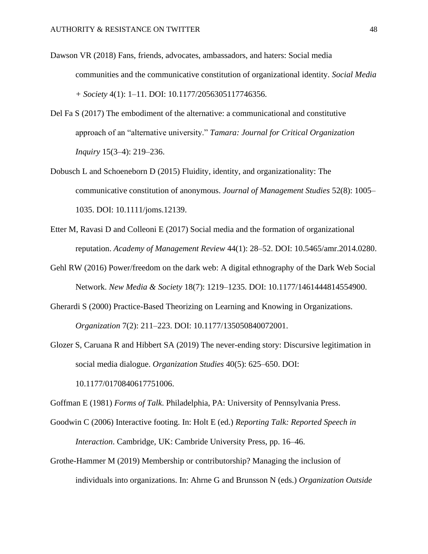- Dawson VR (2018) Fans, friends, advocates, ambassadors, and haters: Social media communities and the communicative constitution of organizational identity. *Social Media + Society* 4(1): 1–11. DOI: 10.1177/2056305117746356.
- Del Fa S (2017) The embodiment of the alternative: a communicational and constitutive approach of an "alternative university." *Tamara: Journal for Critical Organization Inquiry* 15(3–4): 219–236.
- Dobusch L and Schoeneborn D (2015) Fluidity, identity, and organizationality: The communicative constitution of anonymous. *Journal of Management Studies* 52(8): 1005– 1035. DOI: 10.1111/joms.12139.
- Etter M, Ravasi D and Colleoni E (2017) Social media and the formation of organizational reputation. *Academy of Management Review* 44(1): 28–52. DOI: 10.5465/amr.2014.0280.
- Gehl RW (2016) Power/freedom on the dark web: A digital ethnography of the Dark Web Social Network. *New Media & Society* 18(7): 1219–1235. DOI: 10.1177/1461444814554900.
- Gherardi S (2000) Practice-Based Theorizing on Learning and Knowing in Organizations. *Organization* 7(2): 211–223. DOI: 10.1177/135050840072001.
- Glozer S, Caruana R and Hibbert SA (2019) The never-ending story: Discursive legitimation in social media dialogue. *Organization Studies* 40(5): 625–650. DOI: 10.1177/0170840617751006.

Goffman E (1981) *Forms of Talk*. Philadelphia, PA: University of Pennsylvania Press.

- Goodwin C (2006) Interactive footing. In: Holt E (ed.) *Reporting Talk: Reported Speech in Interaction*. Cambridge, UK: Cambride University Press, pp. 16–46.
- Grothe-Hammer M (2019) Membership or contributorship? Managing the inclusion of individuals into organizations. In: Ahrne G and Brunsson N (eds.) *Organization Outside*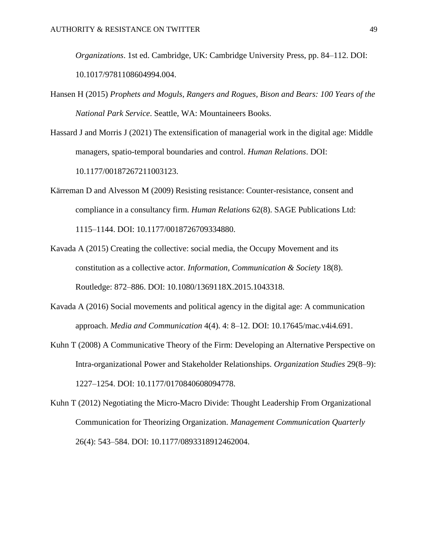*Organizations*. 1st ed. Cambridge, UK: Cambridge University Press, pp. 84–112. DOI: 10.1017/9781108604994.004.

- Hansen H (2015) *Prophets and Moguls, Rangers and Rogues, Bison and Bears: 100 Years of the National Park Service*. Seattle, WA: Mountaineers Books.
- Hassard J and Morris J (2021) The extensification of managerial work in the digital age: Middle managers, spatio-temporal boundaries and control. *Human Relations*. DOI: 10.1177/00187267211003123.
- Kärreman D and Alvesson M (2009) Resisting resistance: Counter-resistance, consent and compliance in a consultancy firm. *Human Relations* 62(8). SAGE Publications Ltd: 1115–1144. DOI: 10.1177/0018726709334880.
- Kavada A (2015) Creating the collective: social media, the Occupy Movement and its constitution as a collective actor. *Information, Communication & Society* 18(8). Routledge: 872–886. DOI: 10.1080/1369118X.2015.1043318.
- Kavada A (2016) Social movements and political agency in the digital age: A communication approach. *Media and Communication* 4(4). 4: 8–12. DOI: 10.17645/mac.v4i4.691.
- Kuhn T (2008) A Communicative Theory of the Firm: Developing an Alternative Perspective on Intra-organizational Power and Stakeholder Relationships. *Organization Studies* 29(8–9): 1227–1254. DOI: 10.1177/0170840608094778.
- Kuhn T (2012) Negotiating the Micro-Macro Divide: Thought Leadership From Organizational Communication for Theorizing Organization. *Management Communication Quarterly* 26(4): 543–584. DOI: 10.1177/0893318912462004.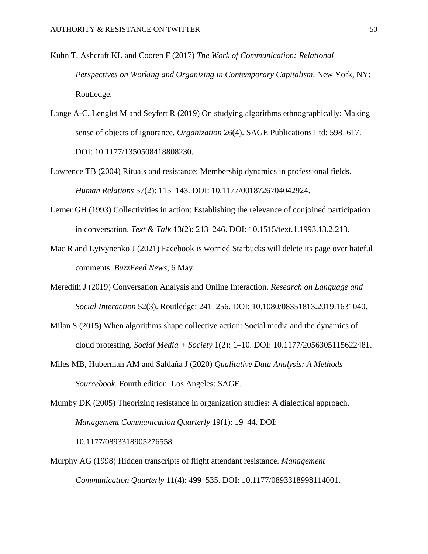- Kuhn T, Ashcraft KL and Cooren F (2017) *The Work of Communication: Relational Perspectives on Working and Organizing in Contemporary Capitalism*. New York, NY: Routledge.
- Lange A-C, Lenglet M and Seyfert R (2019) On studying algorithms ethnographically: Making sense of objects of ignorance. *Organization* 26(4). SAGE Publications Ltd: 598–617. DOI: 10.1177/1350508418808230.
- Lawrence TB (2004) Rituals and resistance: Membership dynamics in professional fields. *Human Relations* 57(2): 115–143. DOI: 10.1177/0018726704042924.
- Lerner GH (1993) Collectivities in action: Establishing the relevance of conjoined participation in conversation. *Text & Talk* 13(2): 213–246. DOI: 10.1515/text.1.1993.13.2.213.
- Mac R and Lytvynenko J (2021) Facebook is worried Starbucks will delete its page over hateful comments. *BuzzFeed News*, 6 May.
- Meredith J (2019) Conversation Analysis and Online Interaction. *Research on Language and Social Interaction* 52(3). Routledge: 241–256. DOI: 10.1080/08351813.2019.1631040.
- Milan S (2015) When algorithms shape collective action: Social media and the dynamics of cloud protesting. *Social Media + Society* 1(2): 1–10. DOI: 10.1177/2056305115622481.
- Miles MB, Huberman AM and Saldaña J (2020) *Qualitative Data Analysis: A Methods Sourcebook*. Fourth edition. Los Angeles: SAGE.
- Mumby DK (2005) Theorizing resistance in organization studies: A dialectical approach. *Management Communication Quarterly* 19(1): 19–44. DOI: 10.1177/0893318905276558.
- Murphy AG (1998) Hidden transcripts of flight attendant resistance. *Management Communication Quarterly* 11(4): 499–535. DOI: 10.1177/0893318998114001.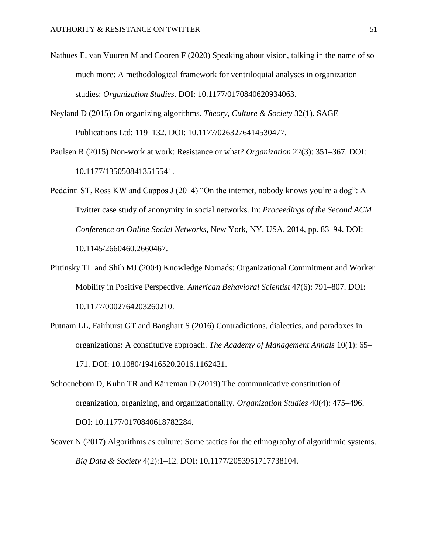- Nathues E, van Vuuren M and Cooren F (2020) Speaking about vision, talking in the name of so much more: A methodological framework for ventriloquial analyses in organization studies: *Organization Studies*. DOI: 10.1177/0170840620934063.
- Neyland D (2015) On organizing algorithms. *Theory, Culture & Society* 32(1). SAGE Publications Ltd: 119–132. DOI: 10.1177/0263276414530477.
- Paulsen R (2015) Non-work at work: Resistance or what? *Organization* 22(3): 351–367. DOI: 10.1177/1350508413515541.
- Peddinti ST, Ross KW and Cappos J (2014) "On the internet, nobody knows you're a dog": A Twitter case study of anonymity in social networks. In: *Proceedings of the Second ACM Conference on Online Social Networks*, New York, NY, USA, 2014, pp. 83–94. DOI: 10.1145/2660460.2660467.
- Pittinsky TL and Shih MJ (2004) Knowledge Nomads: Organizational Commitment and Worker Mobility in Positive Perspective. *American Behavioral Scientist* 47(6): 791–807. DOI: 10.1177/0002764203260210.
- Putnam LL, Fairhurst GT and Banghart S (2016) Contradictions, dialectics, and paradoxes in organizations: A constitutive approach. *The Academy of Management Annals* 10(1): 65– 171. DOI: 10.1080/19416520.2016.1162421.
- Schoeneborn D, Kuhn TR and Kärreman D (2019) The communicative constitution of organization, organizing, and organizationality. *Organization Studies* 40(4): 475–496. DOI: 10.1177/0170840618782284.
- Seaver N (2017) Algorithms as culture: Some tactics for the ethnography of algorithmic systems. *Big Data & Society* 4(2):1–12. DOI: 10.1177/2053951717738104.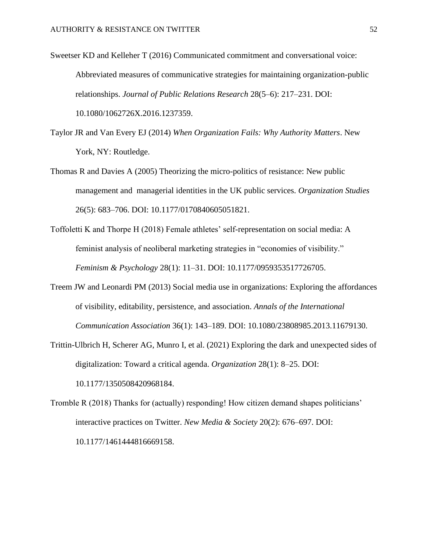- Sweetser KD and Kelleher T (2016) Communicated commitment and conversational voice: Abbreviated measures of communicative strategies for maintaining organization-public relationships. *Journal of Public Relations Research* 28(5–6): 217–231. DOI: 10.1080/1062726X.2016.1237359.
- Taylor JR and Van Every EJ (2014) *When Organization Fails: Why Authority Matters*. New York, NY: Routledge.
- Thomas R and Davies A (2005) Theorizing the micro-politics of resistance: New public management and managerial identities in the UK public services. *Organization Studies* 26(5): 683–706. DOI: 10.1177/0170840605051821.
- Toffoletti K and Thorpe H (2018) Female athletes' self-representation on social media: A feminist analysis of neoliberal marketing strategies in "economies of visibility." *Feminism & Psychology* 28(1): 11–31. DOI: 10.1177/0959353517726705.
- Treem JW and Leonardi PM (2013) Social media use in organizations: Exploring the affordances of visibility, editability, persistence, and association. *Annals of the International Communication Association* 36(1): 143–189. DOI: 10.1080/23808985.2013.11679130.
- Trittin-Ulbrich H, Scherer AG, Munro I, et al. (2021) Exploring the dark and unexpected sides of digitalization: Toward a critical agenda. *Organization* 28(1): 8–25. DOI: 10.1177/1350508420968184.
- Tromble R (2018) Thanks for (actually) responding! How citizen demand shapes politicians' interactive practices on Twitter. *New Media & Society* 20(2): 676–697. DOI: 10.1177/1461444816669158.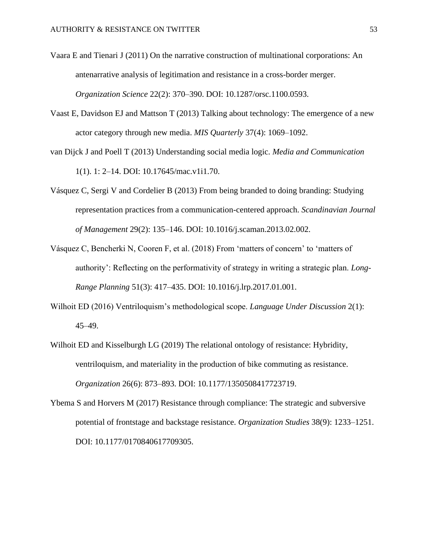- Vaara E and Tienari J (2011) On the narrative construction of multinational corporations: An antenarrative analysis of legitimation and resistance in a cross-border merger. *Organization Science* 22(2): 370–390. DOI: 10.1287/orsc.1100.0593.
- Vaast E, Davidson EJ and Mattson T (2013) Talking about technology: The emergence of a new actor category through new media. *MIS Quarterly* 37(4): 1069–1092.
- van Dijck J and Poell T (2013) Understanding social media logic. *Media and Communication* 1(1). 1: 2–14. DOI: 10.17645/mac.v1i1.70.
- Vásquez C, Sergi V and Cordelier B (2013) From being branded to doing branding: Studying representation practices from a communication-centered approach. *Scandinavian Journal of Management* 29(2): 135–146. DOI: 10.1016/j.scaman.2013.02.002.
- Vásquez C, Bencherki N, Cooren F, et al. (2018) From 'matters of concern' to 'matters of authority': Reflecting on the performativity of strategy in writing a strategic plan. *Long-Range Planning* 51(3): 417–435. DOI: 10.1016/j.lrp.2017.01.001.
- Wilhoit ED (2016) Ventriloquism's methodological scope. *Language Under Discussion* 2(1): 45–49.
- Wilhoit ED and Kisselburgh LG (2019) The relational ontology of resistance: Hybridity, ventriloquism, and materiality in the production of bike commuting as resistance. *Organization* 26(6): 873–893. DOI: 10.1177/1350508417723719.
- Ybema S and Horvers M (2017) Resistance through compliance: The strategic and subversive potential of frontstage and backstage resistance. *Organization Studies* 38(9): 1233–1251. DOI: 10.1177/0170840617709305.